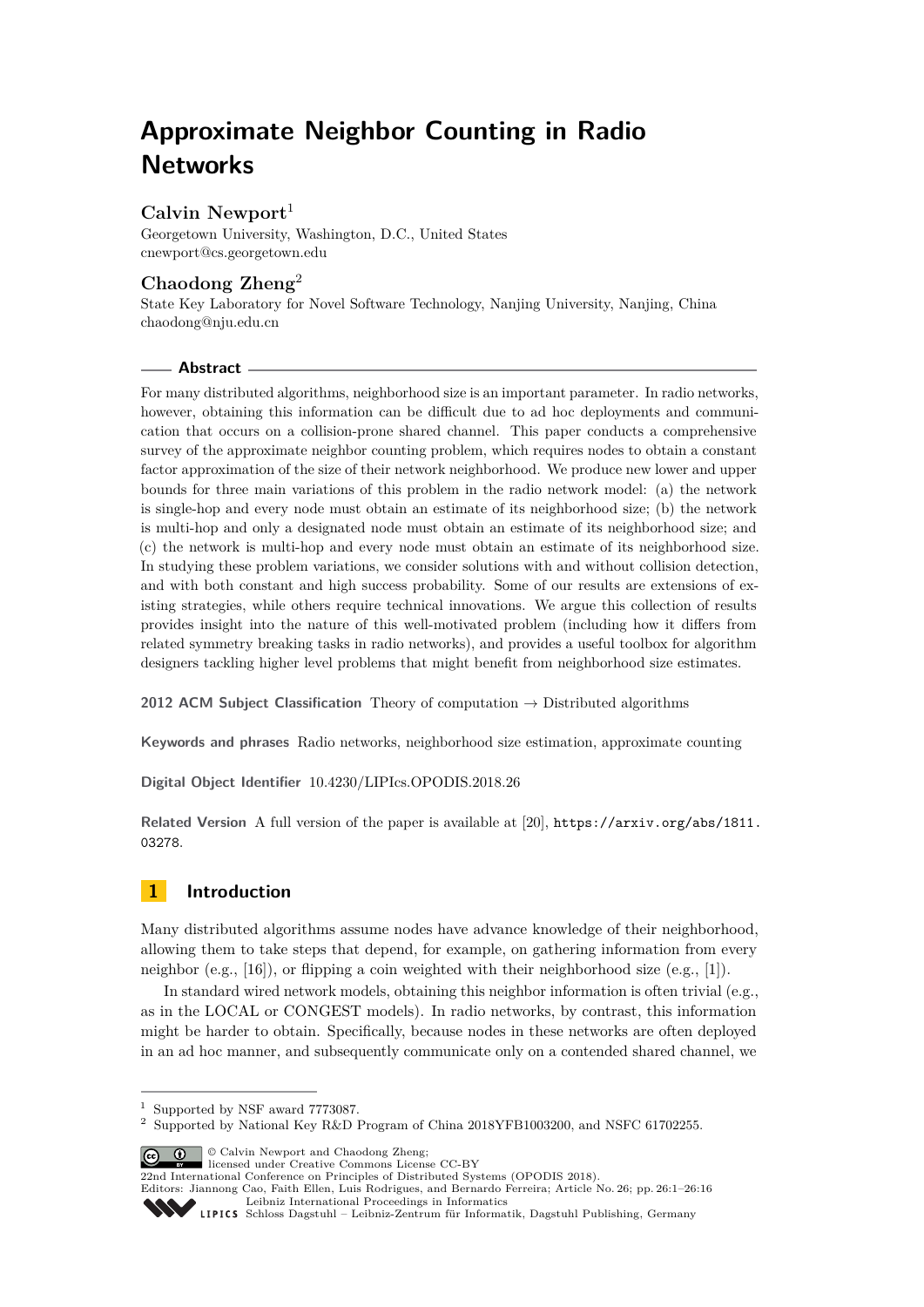# **Approximate Neighbor Counting in Radio Networks**

# **Calvin Newport**<sup>1</sup>

Georgetown University, Washington, D.C., United States [cnewport@cs.georgetown.edu](mailto:cnewport@cs.georgetown.edu)

## **Chaodong Zheng**<sup>2</sup>

State Key Laboratory for Novel Software Technology, Nanjing University, Nanjing, China [chaodong@nju.edu.cn](mailto:chaodong@nju.edu.cn)

## **Abstract**

For many distributed algorithms, neighborhood size is an important parameter. In radio networks, however, obtaining this information can be difficult due to ad hoc deployments and communication that occurs on a collision-prone shared channel. This paper conducts a comprehensive survey of the approximate neighbor counting problem, which requires nodes to obtain a constant factor approximation of the size of their network neighborhood. We produce new lower and upper bounds for three main variations of this problem in the radio network model: (a) the network is single-hop and every node must obtain an estimate of its neighborhood size; (b) the network is multi-hop and only a designated node must obtain an estimate of its neighborhood size; and (c) the network is multi-hop and every node must obtain an estimate of its neighborhood size. In studying these problem variations, we consider solutions with and without collision detection, and with both constant and high success probability. Some of our results are extensions of existing strategies, while others require technical innovations. We argue this collection of results provides insight into the nature of this well-motivated problem (including how it differs from related symmetry breaking tasks in radio networks), and provides a useful toolbox for algorithm designers tackling higher level problems that might benefit from neighborhood size estimates.

**2012 ACM Subject Classification** Theory of computation → Distributed algorithms

**Keywords and phrases** Radio networks, neighborhood size estimation, approximate counting

**Digital Object Identifier** [10.4230/LIPIcs.OPODIS.2018.26](https://doi.org/10.4230/LIPIcs.OPODIS.2018.26)

**Related Version** A full version of the paper is available at [\[20\]](#page-15-0), [https://arxiv.org/abs/1811.](https://arxiv.org/abs/1811.03278) [03278](https://arxiv.org/abs/1811.03278).

# **1 Introduction**

Many distributed algorithms assume nodes have advance knowledge of their neighborhood, allowing them to take steps that depend, for example, on gathering information from every neighbor (e.g.,  $[16]$ ), or flipping a coin weighted with their neighborhood size (e.g.,  $[1]$ ).

In standard wired network models, obtaining this neighbor information is often trivial (e.g., as in the LOCAL or CONGEST models). In radio networks, by contrast, this information might be harder to obtain. Specifically, because nodes in these networks are often deployed in an ad hoc manner, and subsequently communicate only on a contended shared channel, we

© Calvin Newport and Chaodong Zheng; licensed under Creative Commons License CC-BY

Editors: Jiannong Cao, Faith Ellen, Luis Rodrigues, and Bernardo Ferreira; Article No. 26; pp. 26:1–26[:16](#page-15-2) [Leibniz International Proceedings in Informatics](http://www.dagstuhl.de/lipics/)



<sup>1</sup> Supported by NSF award 7773087.

<sup>2</sup> Supported by National Key R&D Program of China 2018YFB1003200, and NSFC 61702255.

<sup>22</sup>nd International Conference on Principles of Distributed Systems (OPODIS 2018).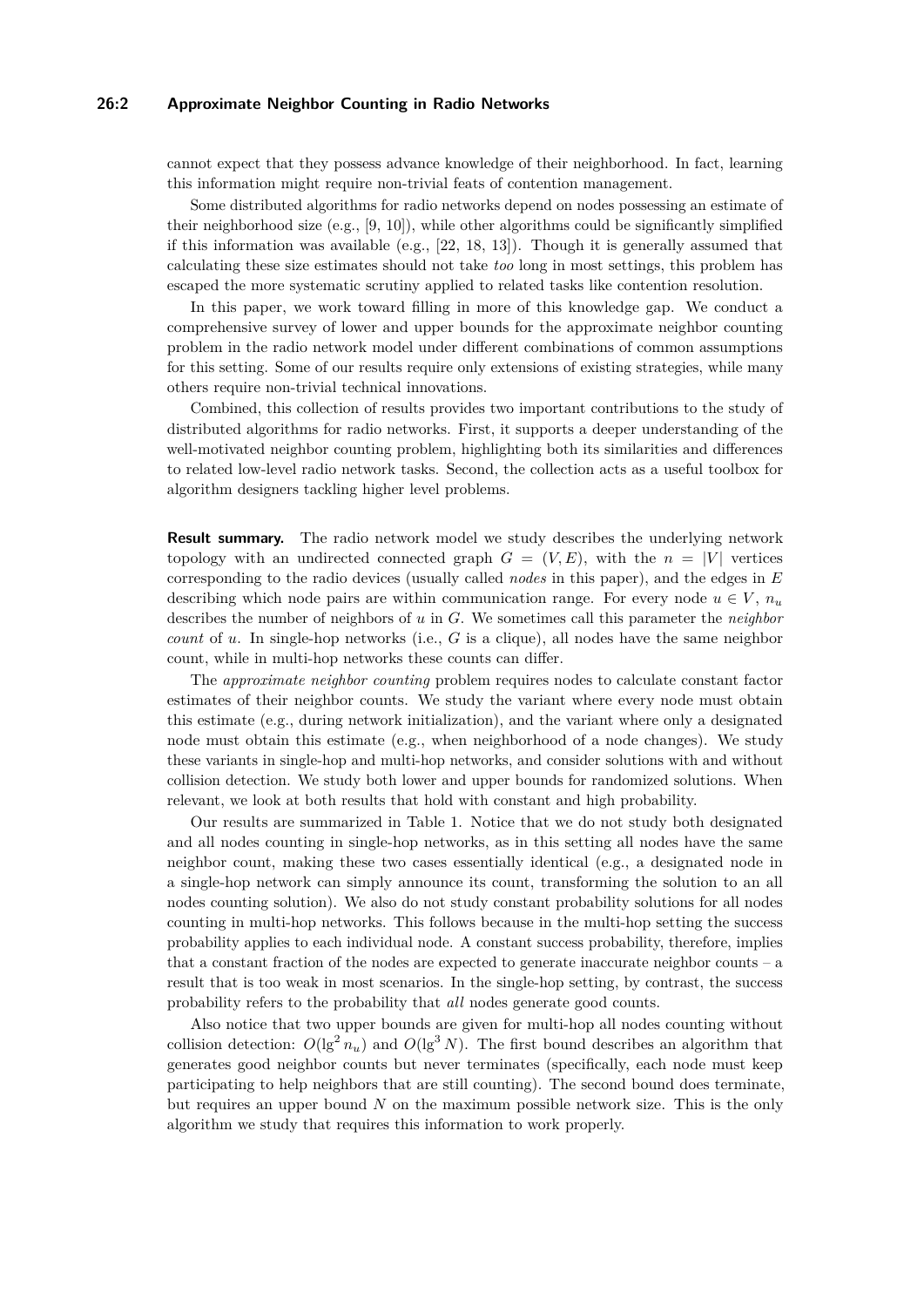#### **26:2 Approximate Neighbor Counting in Radio Networks**

cannot expect that they possess advance knowledge of their neighborhood. In fact, learning this information might require non-trivial feats of contention management.

Some distributed algorithms for radio networks depend on nodes possessing an estimate of their neighborhood size  $(e.g., [9, 10])$  $(e.g., [9, 10])$  $(e.g., [9, 10])$  $(e.g., [9, 10])$  $(e.g., [9, 10])$ , while other algorithms could be significantly simplified if this information was available (e.g., [\[22,](#page-15-5) [18,](#page-15-6) [13\]](#page-15-7)). Though it is generally assumed that calculating these size estimates should not take *too* long in most settings, this problem has escaped the more systematic scrutiny applied to related tasks like contention resolution.

In this paper, we work toward filling in more of this knowledge gap. We conduct a comprehensive survey of lower and upper bounds for the approximate neighbor counting problem in the radio network model under different combinations of common assumptions for this setting. Some of our results require only extensions of existing strategies, while many others require non-trivial technical innovations.

Combined, this collection of results provides two important contributions to the study of distributed algorithms for radio networks. First, it supports a deeper understanding of the well-motivated neighbor counting problem, highlighting both its similarities and differences to related low-level radio network tasks. Second, the collection acts as a useful toolbox for algorithm designers tackling higher level problems.

**Result summary.** The radio network model we study describes the underlying network topology with an undirected connected graph  $G = (V, E)$ , with the  $n = |V|$  vertices corresponding to the radio devices (usually called *nodes* in this paper), and the edges in *E* describing which node pairs are within communication range. For every node  $u \in V$ ,  $n_u$ describes the number of neighbors of *u* in *G*. We sometimes call this parameter the *neighbor count* of *u*. In single-hop networks (i.e., *G* is a clique), all nodes have the same neighbor count, while in multi-hop networks these counts can differ.

The *approximate neighbor counting* problem requires nodes to calculate constant factor estimates of their neighbor counts. We study the variant where every node must obtain this estimate (e.g., during network initialization), and the variant where only a designated node must obtain this estimate (e.g., when neighborhood of a node changes). We study these variants in single-hop and multi-hop networks, and consider solutions with and without collision detection. We study both lower and upper bounds for randomized solutions. When relevant, we look at both results that hold with constant and high probability.

Our results are summarized in Table [1.](#page-2-0) Notice that we do not study both designated and all nodes counting in single-hop networks, as in this setting all nodes have the same neighbor count, making these two cases essentially identical (e.g., a designated node in a single-hop network can simply announce its count, transforming the solution to an all nodes counting solution). We also do not study constant probability solutions for all nodes counting in multi-hop networks. This follows because in the multi-hop setting the success probability applies to each individual node. A constant success probability, therefore, implies that a constant fraction of the nodes are expected to generate inaccurate neighbor counts – a result that is too weak in most scenarios. In the single-hop setting, by contrast, the success probability refers to the probability that *all* nodes generate good counts.

Also notice that two upper bounds are given for multi-hop all nodes counting without collision detection:  $O(\lg^2 n_u)$  and  $O(\lg^3 N)$ . The first bound describes an algorithm that generates good neighbor counts but never terminates (specifically, each node must keep participating to help neighbors that are still counting). The second bound does terminate, but requires an upper bound *N* on the maximum possible network size. This is the only algorithm we study that requires this information to work properly.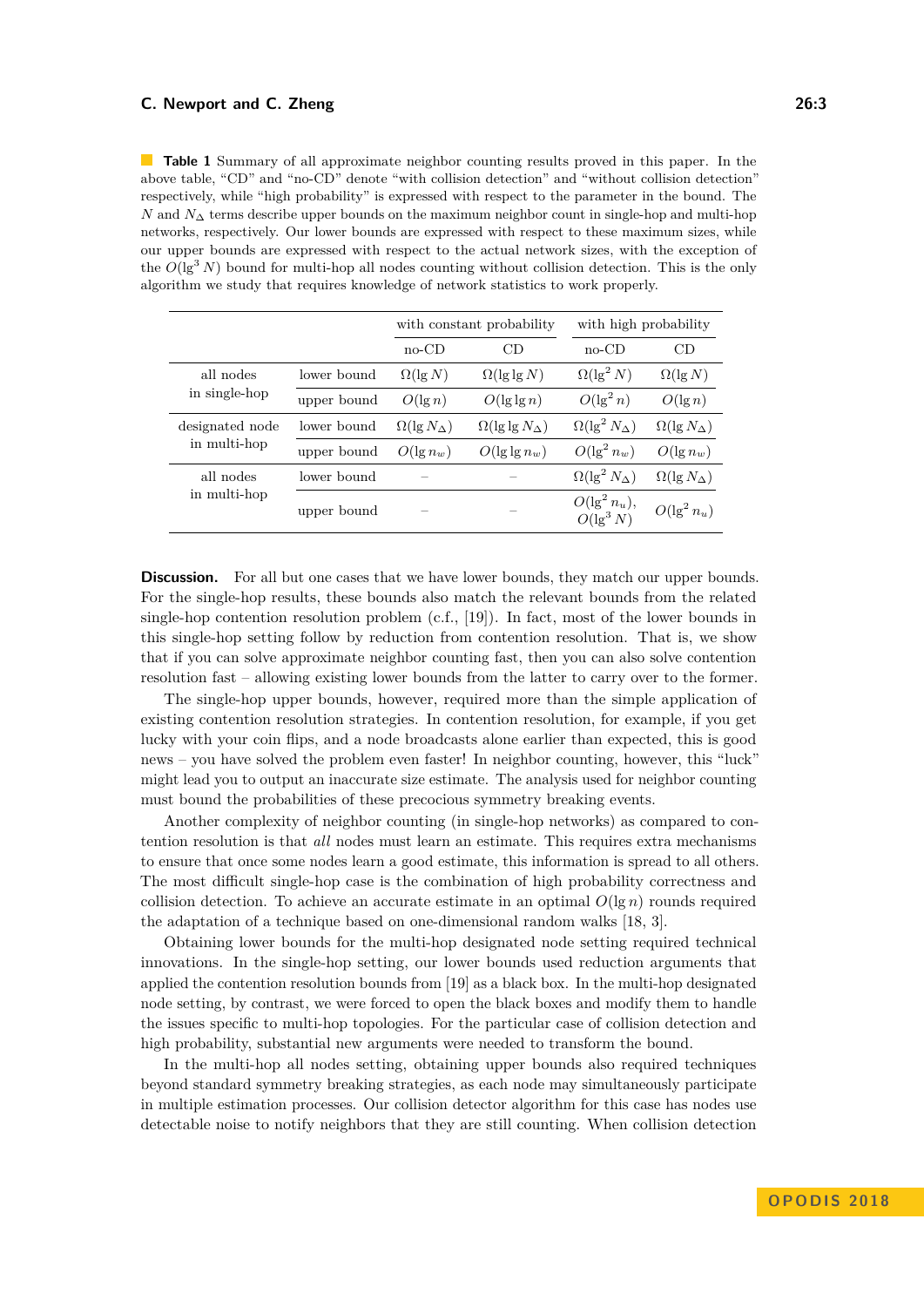<span id="page-2-0"></span>**Table 1** Summary of all approximate neighbor counting results proved in this paper. In the above table, "CD" and "no-CD" denote "with collision detection" and "without collision detection" respectively, while "high probability" is expressed with respect to the parameter in the bound. The *N* and *N*∆ terms describe upper bounds on the maximum neighbor count in single-hop and multi-hop networks, respectively. Our lower bounds are expressed with respect to these maximum sizes, while our upper bounds are expressed with respect to the actual network sizes, with the exception of the  $O(\lg^3 N)$  bound for multi-hop all nodes counting without collision detection. This is the only algorithm we study that requires knowledge of network statistics to work properly.

|                                 |             | with constant probability |                             | with high probability           |                          |
|---------------------------------|-------------|---------------------------|-----------------------------|---------------------------------|--------------------------|
|                                 |             | $no$ -CD                  | CD                          | $no$ -CD                        | CD                       |
| all nodes<br>in single-hop      | lower bound | $\Omega(\lg N)$           | $\Omega(\lg\lg N)$          | $\Omega(\lg^2 N)$               | $\Omega(\lg N)$          |
|                                 | upper bound | $O(\lg n)$                | $O(\lg \lg n)$              | $O(\lg^2 n)$                    | $O(\lg n)$               |
| designated node<br>in multi-hop | lower bound | $\Omega(\lg N_{\Delta})$  | $\Omega(\lg\lg N_{\Delta})$ | $\Omega(\lg^2 N_{\Delta})$      | $\Omega(\lg N_{\Delta})$ |
|                                 | upper bound | $O(\lg n_w)$              | $O(\lg \lg n_w)$            | $O(\lg^2 n_w)$                  | $O(\lg n_w)$             |
| all nodes<br>in multi-hop       | lower bound |                           |                             | $\Omega(\lg^2 N_{\Delta})$      | $\Omega(\lg N_{\Delta})$ |
|                                 | upper bound |                           |                             | $O(\lg^2 n_u),$<br>$O(\lg^3 N)$ | $O(\lg^2 n_u)$           |

**Discussion.** For all but one cases that we have lower bounds, they match our upper bounds. For the single-hop results, these bounds also match the relevant bounds from the related single-hop contention resolution problem (c.f., [\[19\]](#page-15-8)). In fact, most of the lower bounds in this single-hop setting follow by reduction from contention resolution. That is, we show that if you can solve approximate neighbor counting fast, then you can also solve contention resolution fast – allowing existing lower bounds from the latter to carry over to the former.

The single-hop upper bounds, however, required more than the simple application of existing contention resolution strategies. In contention resolution, for example, if you get lucky with your coin flips, and a node broadcasts alone earlier than expected, this is good news – you have solved the problem even faster! In neighbor counting, however, this "luck" might lead you to output an inaccurate size estimate. The analysis used for neighbor counting must bound the probabilities of these precocious symmetry breaking events.

Another complexity of neighbor counting (in single-hop networks) as compared to contention resolution is that *all* nodes must learn an estimate. This requires extra mechanisms to ensure that once some nodes learn a good estimate, this information is spread to all others. The most difficult single-hop case is the combination of high probability correctness and collision detection. To achieve an accurate estimate in an optimal  $O(\lg n)$  rounds required the adaptation of a technique based on one-dimensional random walks [\[18,](#page-15-6) [3\]](#page-14-1).

Obtaining lower bounds for the multi-hop designated node setting required technical innovations. In the single-hop setting, our lower bounds used reduction arguments that applied the contention resolution bounds from [\[19\]](#page-15-8) as a black box. In the multi-hop designated node setting, by contrast, we were forced to open the black boxes and modify them to handle the issues specific to multi-hop topologies. For the particular case of collision detection and high probability, substantial new arguments were needed to transform the bound.

In the multi-hop all nodes setting, obtaining upper bounds also required techniques beyond standard symmetry breaking strategies, as each node may simultaneously participate in multiple estimation processes. Our collision detector algorithm for this case has nodes use detectable noise to notify neighbors that they are still counting. When collision detection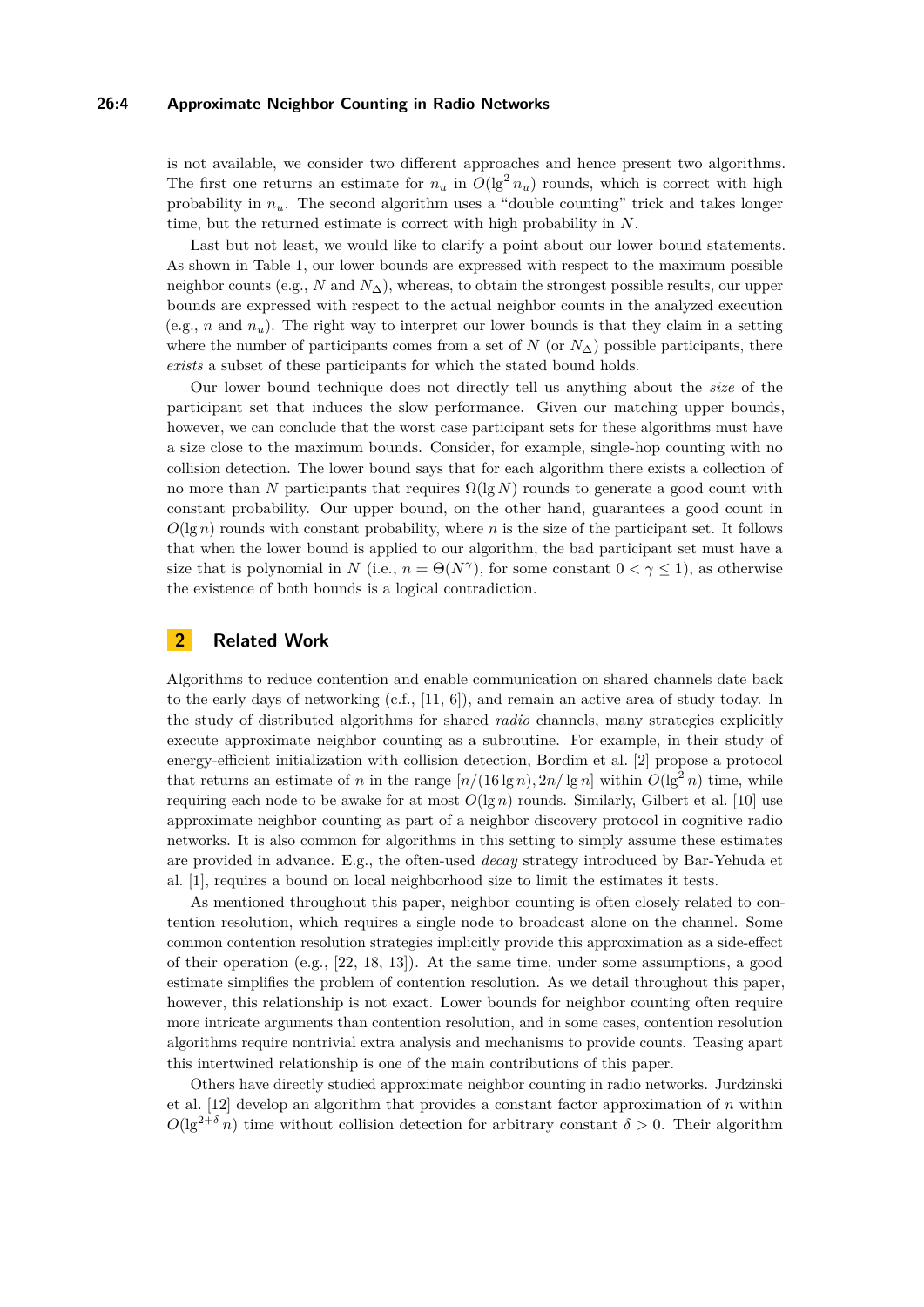#### **26:4 Approximate Neighbor Counting in Radio Networks**

is not available, we consider two different approaches and hence present two algorithms. The first one returns an estimate for  $n_u$  in  $O(\lg^2 n_u)$  rounds, which is correct with high probability in  $n<sub>u</sub>$ . The second algorithm uses a "double counting" trick and takes longer time, but the returned estimate is correct with high probability in *N*.

Last but not least, we would like to clarify a point about our lower bound statements. As shown in Table [1,](#page-2-0) our lower bounds are expressed with respect to the maximum possible neighbor counts (e.g., *N* and *N*∆), whereas, to obtain the strongest possible results, our upper bounds are expressed with respect to the actual neighbor counts in the analyzed execution (e.g., *n* and  $n_u$ ). The right way to interpret our lower bounds is that they claim in a setting where the number of participants comes from a set of *N* (or  $N_{\Delta}$ ) possible participants, there *exists* a subset of these participants for which the stated bound holds.

Our lower bound technique does not directly tell us anything about the *size* of the participant set that induces the slow performance. Given our matching upper bounds, however, we can conclude that the worst case participant sets for these algorithms must have a size close to the maximum bounds. Consider, for example, single-hop counting with no collision detection. The lower bound says that for each algorithm there exists a collection of no more than *N* participants that requires  $\Omega(\lg N)$  rounds to generate a good count with constant probability. Our upper bound, on the other hand, guarantees a good count in  $O(\lg n)$  rounds with constant probability, where *n* is the size of the participant set. It follows that when the lower bound is applied to our algorithm, the bad participant set must have a size that is polynomial in *N* (i.e.,  $n = \Theta(N^{\gamma})$ , for some constant  $0 < \gamma \leq 1$ ), as otherwise the existence of both bounds is a logical contradiction.

## **2 Related Work**

Algorithms to reduce contention and enable communication on shared channels date back to the early days of networking  $(c.f., [11, 6])$  $(c.f., [11, 6])$  $(c.f., [11, 6])$  $(c.f., [11, 6])$  $(c.f., [11, 6])$ , and remain an active area of study today. In the study of distributed algorithms for shared *radio* channels, many strategies explicitly execute approximate neighbor counting as a subroutine. For example, in their study of energy-efficient initialization with collision detection, Bordim et al. [\[2\]](#page-14-3) propose a protocol that returns an estimate of *n* in the range  $\left[\frac{n}{(16 \lg n)}\right]\left[\frac{n}{\lg n}\right]$  within  $O(\lg^2 n)$  time, while requiring each node to be awake for at most  $O(\lg n)$  rounds. Similarly, Gilbert et al. [\[10\]](#page-15-4) use approximate neighbor counting as part of a neighbor discovery protocol in cognitive radio networks. It is also common for algorithms in this setting to simply assume these estimates are provided in advance. E.g., the often-used *decay* strategy introduced by Bar-Yehuda et al. [\[1\]](#page-14-0), requires a bound on local neighborhood size to limit the estimates it tests.

As mentioned throughout this paper, neighbor counting is often closely related to contention resolution, which requires a single node to broadcast alone on the channel. Some common contention resolution strategies implicitly provide this approximation as a side-effect of their operation (e.g.,  $[22, 18, 13]$  $[22, 18, 13]$  $[22, 18, 13]$  $[22, 18, 13]$  $[22, 18, 13]$ ). At the same time, under some assumptions, a good estimate simplifies the problem of contention resolution. As we detail throughout this paper, however, this relationship is not exact. Lower bounds for neighbor counting often require more intricate arguments than contention resolution, and in some cases, contention resolution algorithms require nontrivial extra analysis and mechanisms to provide counts. Teasing apart this intertwined relationship is one of the main contributions of this paper.

Others have directly studied approximate neighbor counting in radio networks. Jurdzinski et al. [\[12\]](#page-15-10) develop an algorithm that provides a constant factor approximation of *n* within  $O(\lg^{2+\delta} n)$  time without collision detection for arbitrary constant  $\delta > 0$ . Their algorithm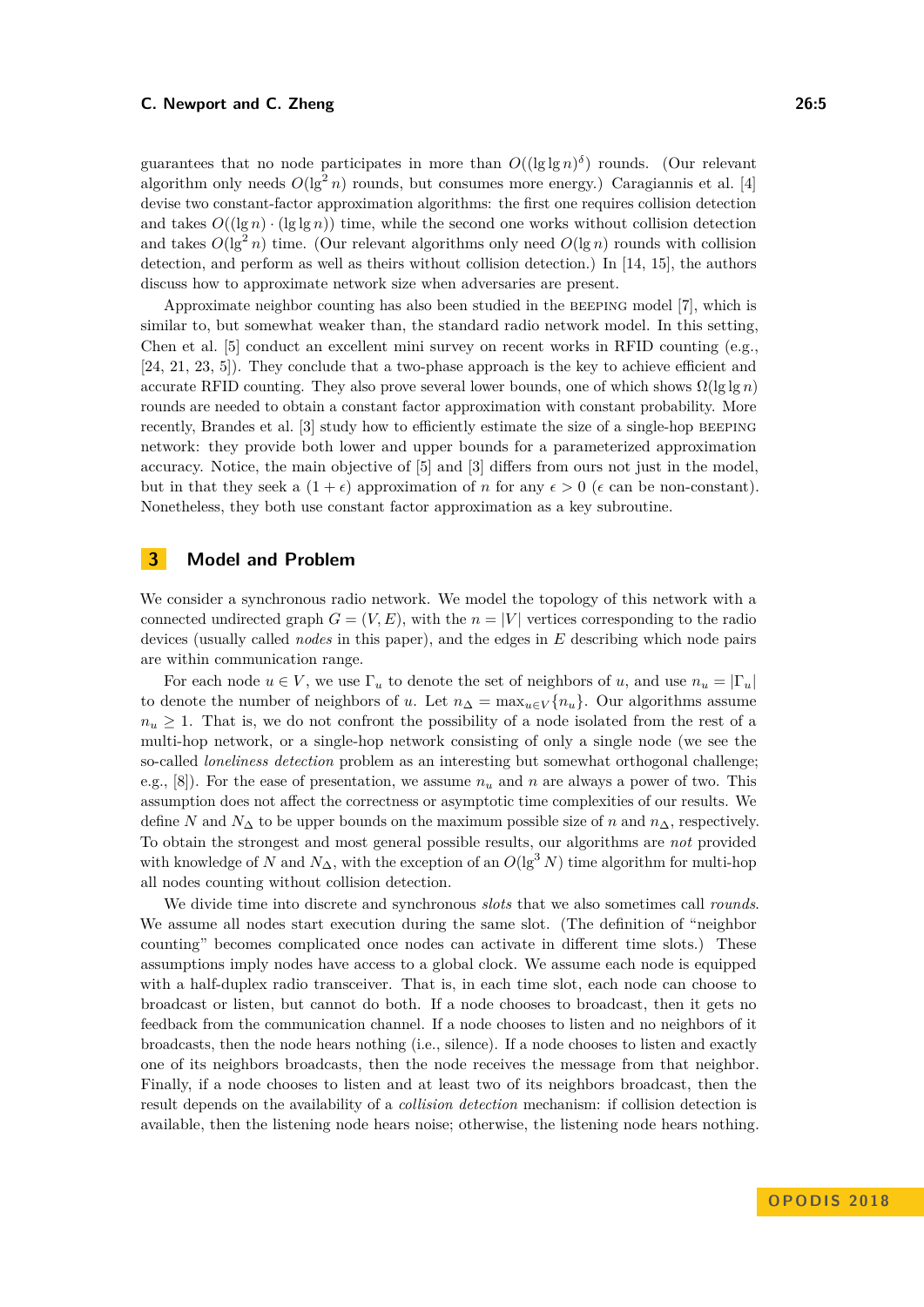guarantees that no node participates in more than  $O((\lg \lg n)^{\delta})$  rounds. (Our relevant algorithm only needs  $O(\lg^2 n)$  rounds, but consumes more energy.) Caragiannis et al. [\[4\]](#page-14-4) devise two constant-factor approximation algorithms: the first one requires collision detection and takes  $O((\lg n) \cdot (\lg \lg n))$  time, while the second one works without collision detection and takes  $O(\lg^2 n)$  time. (Our relevant algorithms only need  $O(\lg n)$  rounds with collision detection, and perform as well as theirs without collision detection.) In [\[14,](#page-15-11) [15\]](#page-15-12), the authors discuss how to approximate network size when adversaries are present.

Approximate neighbor counting has also been studied in the beeping model [\[7\]](#page-15-13), which is similar to, but somewhat weaker than, the standard radio network model. In this setting, Chen et al. [\[5\]](#page-14-5) conduct an excellent mini survey on recent works in RFID counting (e.g., [\[24,](#page-15-14) [21,](#page-15-15) [23,](#page-15-16) [5\]](#page-14-5)). They conclude that a two-phase approach is the key to achieve efficient and accurate RFID counting. They also prove several lower bounds, one of which shows  $\Omega(\lg \lg n)$ rounds are needed to obtain a constant factor approximation with constant probability. More recently, Brandes et al. [\[3\]](#page-14-1) study how to efficiently estimate the size of a single-hop beeping network: they provide both lower and upper bounds for a parameterized approximation accuracy. Notice, the main objective of [\[5\]](#page-14-5) and [\[3\]](#page-14-1) differs from ours not just in the model, but in that they seek a  $(1 + \epsilon)$  approximation of *n* for any  $\epsilon > 0$  ( $\epsilon$  can be non-constant). Nonetheless, they both use constant factor approximation as a key subroutine.

## <span id="page-4-0"></span>**3 Model and Problem**

We consider a synchronous radio network. We model the topology of this network with a connected undirected graph  $G = (V, E)$ , with the  $n = |V|$  vertices corresponding to the radio devices (usually called *nodes* in this paper), and the edges in *E* describing which node pairs are within communication range.

For each node  $u \in V$ , we use  $\Gamma_u$  to denote the set of neighbors of *u*, and use  $n_u = |\Gamma_u|$ to denote the number of neighbors of *u*. Let  $n_{\Delta} = \max_{u \in V} \{n_u\}$ . Our algorithms assume  $n_u \geq 1$ . That is, we do not confront the possibility of a node isolated from the rest of a multi-hop network, or a single-hop network consisting of only a single node (we see the so-called *loneliness detection* problem as an interesting but somewhat orthogonal challenge; e.g., [\[8\]](#page-15-17)). For the ease of presentation, we assume *n<sup>u</sup>* and *n* are always a power of two. This assumption does not affect the correctness or asymptotic time complexities of our results. We define *N* and  $N_{\Delta}$  to be upper bounds on the maximum possible size of *n* and  $n_{\Delta}$ , respectively. To obtain the strongest and most general possible results, our algorithms are *not* provided with knowledge of *N* and  $N_{\Delta}$ , with the exception of an  $O(\lg^3 N)$  time algorithm for multi-hop all nodes counting without collision detection.

We divide time into discrete and synchronous *slots* that we also sometimes call *rounds*. We assume all nodes start execution during the same slot. (The definition of "neighbor counting" becomes complicated once nodes can activate in different time slots.) These assumptions imply nodes have access to a global clock. We assume each node is equipped with a half-duplex radio transceiver. That is, in each time slot, each node can choose to broadcast or listen, but cannot do both. If a node chooses to broadcast, then it gets no feedback from the communication channel. If a node chooses to listen and no neighbors of it broadcasts, then the node hears nothing (i.e., silence). If a node chooses to listen and exactly one of its neighbors broadcasts, then the node receives the message from that neighbor. Finally, if a node chooses to listen and at least two of its neighbors broadcast, then the result depends on the availability of a *collision detection* mechanism: if collision detection is available, then the listening node hears noise; otherwise, the listening node hears nothing.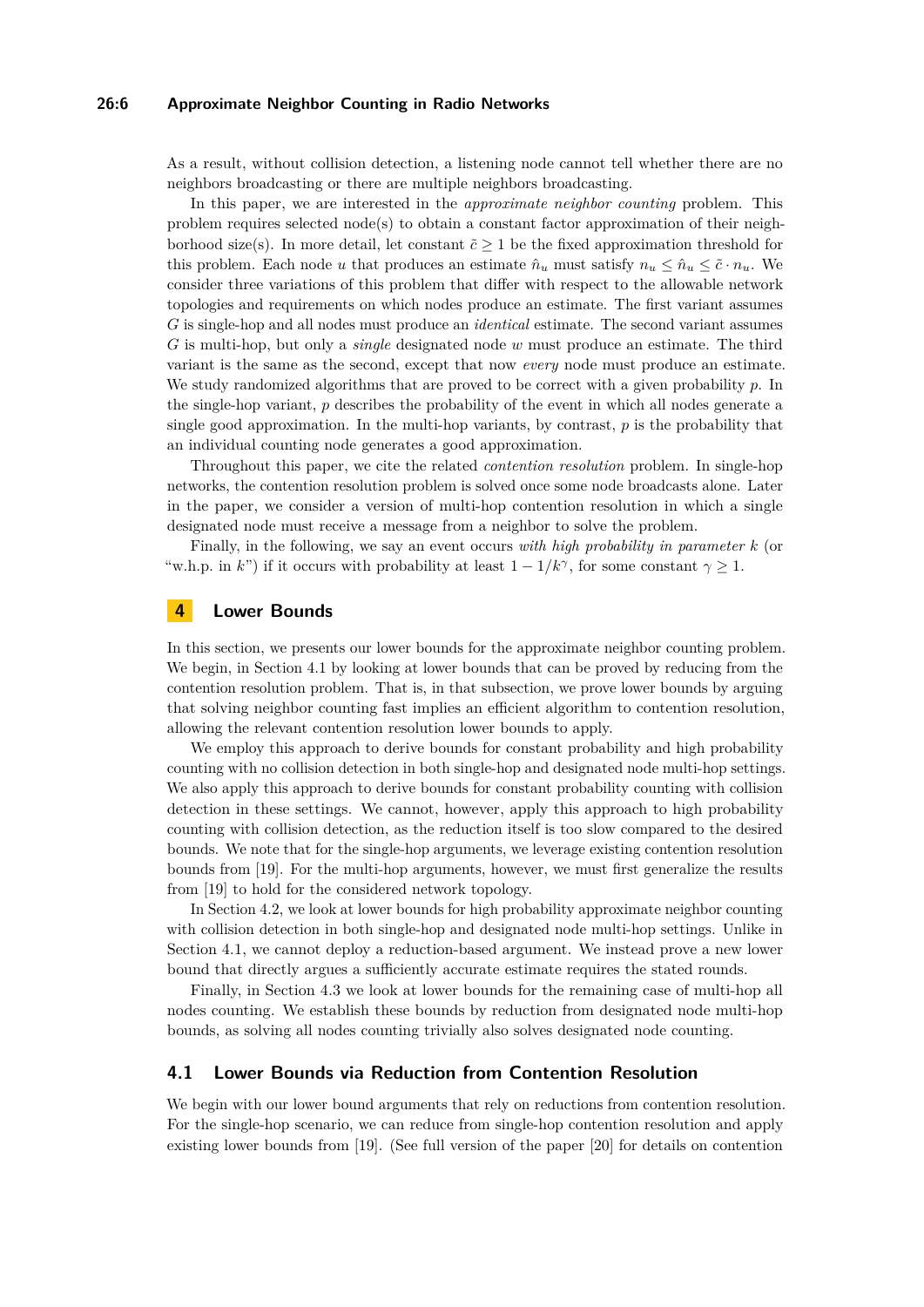#### **26:6 Approximate Neighbor Counting in Radio Networks**

As a result, without collision detection, a listening node cannot tell whether there are no neighbors broadcasting or there are multiple neighbors broadcasting.

In this paper, we are interested in the *approximate neighbor counting* problem. This problem requires selected node(s) to obtain a constant factor approximation of their neighborhood size(s). In more detail, let constant  $\tilde{c} \geq 1$  be the fixed approximation threshold for this problem. Each node *u* that produces an estimate  $\hat{n}_u$  must satisfy  $n_u \leq \hat{n}_u \leq \tilde{c} \cdot n_u$ . We consider three variations of this problem that differ with respect to the allowable network topologies and requirements on which nodes produce an estimate. The first variant assumes *G* is single-hop and all nodes must produce an *identical* estimate. The second variant assumes *G* is multi-hop, but only a *single* designated node *w* must produce an estimate. The third variant is the same as the second, except that now *every* node must produce an estimate. We study randomized algorithms that are proved to be correct with a given probability *p*. In the single-hop variant, *p* describes the probability of the event in which all nodes generate a single good approximation. In the multi-hop variants, by contrast, *p* is the probability that an individual counting node generates a good approximation.

Throughout this paper, we cite the related *contention resolution* problem. In single-hop networks, the contention resolution problem is solved once some node broadcasts alone. Later in the paper, we consider a version of multi-hop contention resolution in which a single designated node must receive a message from a neighbor to solve the problem.

Finally, in the following, we say an event occurs *with high probability in parameter k* (or "w.h.p. in *k*") if it occurs with probability at least  $1 - 1/k^{\gamma}$ , for some constant  $\gamma \geq 1$ .

#### **4 Lower Bounds**

In this section, we presents our lower bounds for the approximate neighbor counting problem. We begin, in Section [4.1](#page-5-0) by looking at lower bounds that can be proved by reducing from the contention resolution problem. That is, in that subsection, we prove lower bounds by arguing that solving neighbor counting fast implies an efficient algorithm to contention resolution, allowing the relevant contention resolution lower bounds to apply.

We employ this approach to derive bounds for constant probability and high probability counting with no collision detection in both single-hop and designated node multi-hop settings. We also apply this approach to derive bounds for constant probability counting with collision detection in these settings. We cannot, however, apply this approach to high probability counting with collision detection, as the reduction itself is too slow compared to the desired bounds. We note that for the single-hop arguments, we leverage existing contention resolution bounds from [\[19\]](#page-15-8). For the multi-hop arguments, however, we must first generalize the results from [\[19\]](#page-15-8) to hold for the considered network topology.

In Section [4.2,](#page-7-0) we look at lower bounds for high probability approximate neighbor counting with collision detection in both single-hop and designated node multi-hop settings. Unlike in Section [4.1,](#page-5-0) we cannot deploy a reduction-based argument. We instead prove a new lower bound that directly argues a sufficiently accurate estimate requires the stated rounds.

Finally, in Section [4.3](#page-7-1) we look at lower bounds for the remaining case of multi-hop all nodes counting. We establish these bounds by reduction from designated node multi-hop bounds, as solving all nodes counting trivially also solves designated node counting.

## <span id="page-5-0"></span>**4.1 Lower Bounds via Reduction from Contention Resolution**

We begin with our lower bound arguments that rely on reductions from contention resolution. For the single-hop scenario, we can reduce from single-hop contention resolution and apply existing lower bounds from [\[19\]](#page-15-8). (See full version of the paper [\[20\]](#page-15-0) for details on contention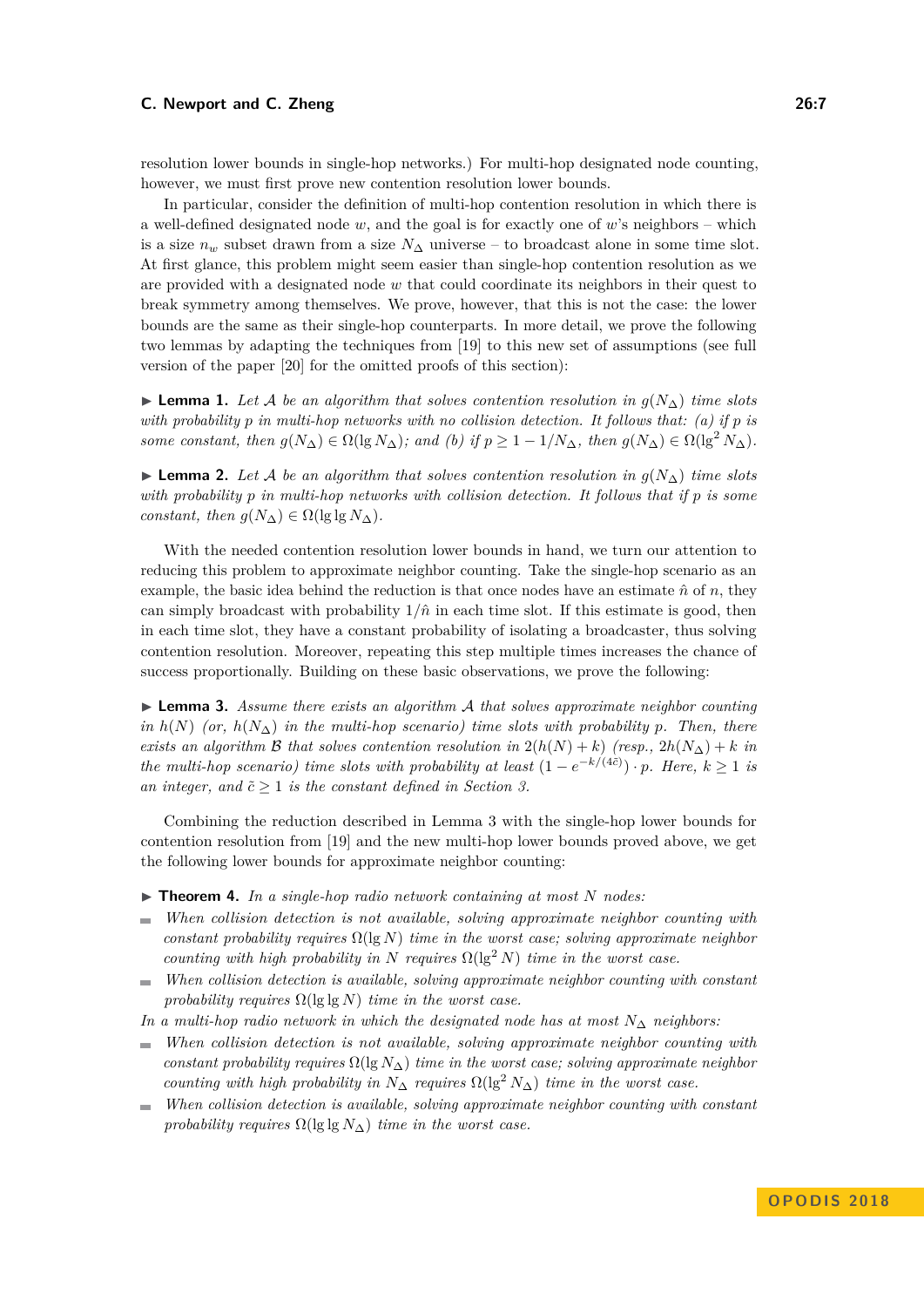resolution lower bounds in single-hop networks.) For multi-hop designated node counting, however, we must first prove new contention resolution lower bounds.

In particular, consider the definition of multi-hop contention resolution in which there is a well-defined designated node *w*, and the goal is for exactly one of *w*'s neighbors – which is a size  $n_w$  subset drawn from a size  $N_\Delta$  universe – to broadcast alone in some time slot. At first glance, this problem might seem easier than single-hop contention resolution as we are provided with a designated node *w* that could coordinate its neighbors in their quest to break symmetry among themselves. We prove, however, that this is not the case: the lower bounds are the same as their single-hop counterparts. In more detail, we prove the following two lemmas by adapting the techniques from [\[19\]](#page-15-8) to this new set of assumptions (see full version of the paper [\[20\]](#page-15-0) for the omitted proofs of this section):

**► Lemma 1.** Let A be an algorithm that solves contention resolution in  $q(N_∆)$  time slots *with probability p in multi-hop networks with no collision detection. It follows that: (a) if p is some constant, then*  $g(N_{\Delta}) \in \Omega(\lg N_{\Delta})$ *; and (b) if*  $p \geq 1 - 1/N_{\Delta}$ *, then*  $g(N_{\Delta}) \in \Omega(\lg^2 N_{\Delta})$ *.* 

**► Lemma 2.** Let A be an algorithm that solves contention resolution in  $g(N_∆)$  time slots *with probability p in multi-hop networks with collision detection. It follows that if p is some constant, then*  $g(N_{\Delta}) \in \Omega(\lg \lg N_{\Delta})$ *.* 

With the needed contention resolution lower bounds in hand, we turn our attention to reducing this problem to approximate neighbor counting. Take the single-hop scenario as an example, the basic idea behind the reduction is that once nodes have an estimate  $\hat{n}$  of  $n$ , they can simply broadcast with probability  $1/\hat{n}$  in each time slot. If this estimate is good, then in each time slot, they have a constant probability of isolating a broadcaster, thus solving contention resolution. Moreover, repeating this step multiple times increases the chance of success proportionally. Building on these basic observations, we prove the following:

<span id="page-6-0"></span>I **Lemma 3.** *Assume there exists an algorithm* A *that solves approximate neighbor counting in*  $h(N)$  *(or,*  $h(N_\Delta)$  *in the multi-hop scenario) time slots with probability p. Then, there exists an algorithm* B *that solves contention resolution in*  $2(h(N) + k)$  *(resp.,*  $2h(N<sub>\Delta</sub>) + k$  *in the multi-hop scenario) time slots with probability at least*  $(1 - e^{-k/(4\tilde{c})}) \cdot p$ *. Here,*  $k \ge 1$  *is an integer, and*  $\tilde{c} \geq 1$  *is the constant defined in Section [3.](#page-4-0)* 

Combining the reduction described in Lemma [3](#page-6-0) with the single-hop lower bounds for contention resolution from [\[19\]](#page-15-8) and the new multi-hop lower bounds proved above, we get the following lower bounds for approximate neighbor counting:

- $\triangleright$  **Theorem 4.** In a single-hop radio network containing at most N nodes:
- *When collision detection is not available, solving approximate neighbor counting with*  $\sim$ *constant probability requires* Ω(lg *N*) *time in the worst case; solving approximate neighbor counting with high probability in N requires*  $\Omega(\lg^2 N)$  *time in the worst case.*
- *When collision detection is available, solving approximate neighbor counting with constant*  $\sim$ *probability requires* Ω(lg lg *N*) *time in the worst case.*

*In a multi-hop radio network in which the designated node has at most N*<sup>∆</sup> *neighbors:*

- *When collision detection is not available, solving approximate neighbor counting with constant probability requires*  $\Omega(\lg N_A)$  *time in the worst case; solving approximate neighbor counting with high probability in*  $N_{\Delta}$  *requires*  $\Omega(\lg^2 N_{\Delta})$  *time in the worst case.*
- *When collision detection is available, solving approximate neighbor counting with constant*  $\sim$ *probability requires*  $\Omega(\lg \lg N_{\Delta})$  *time in the worst case.*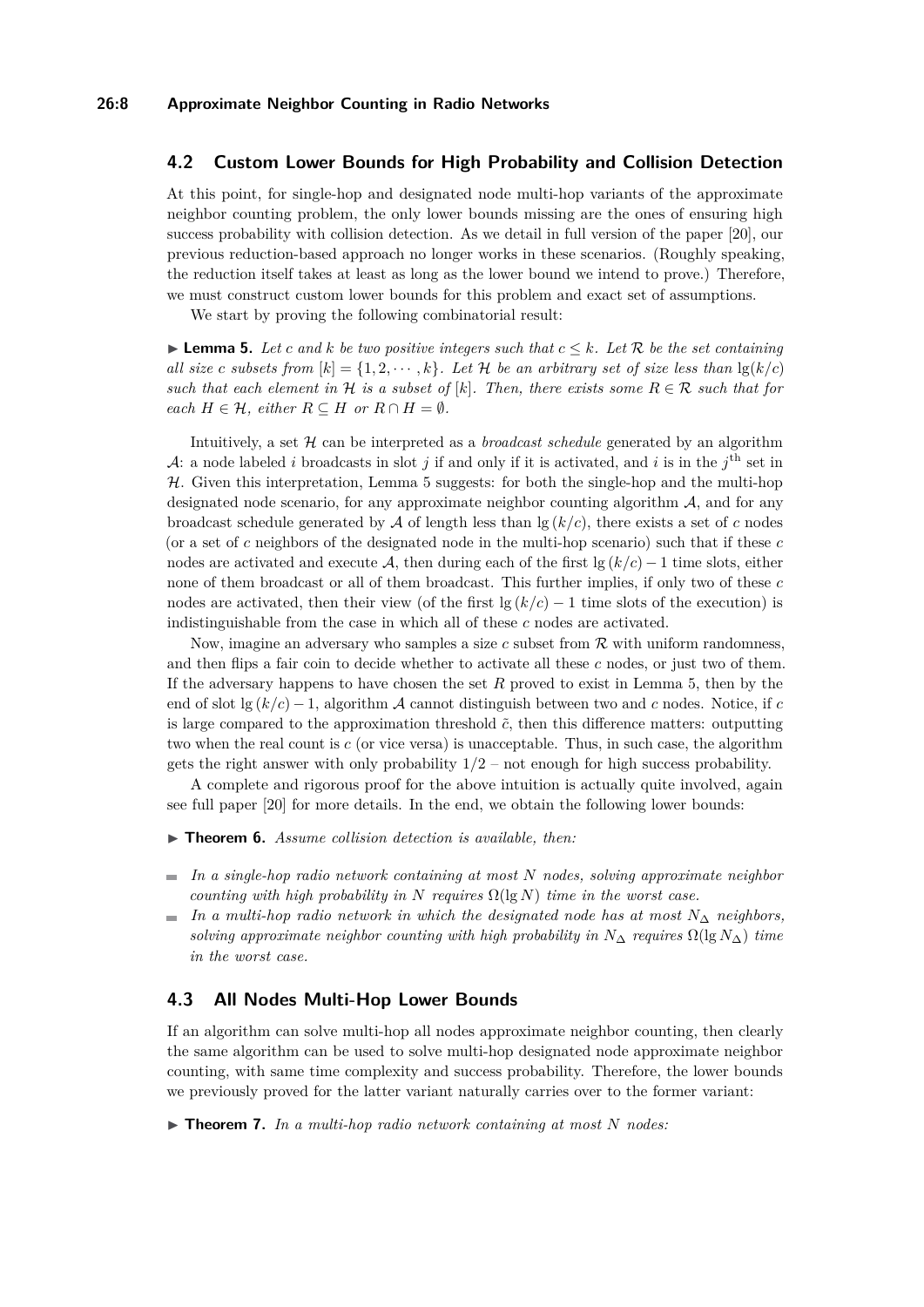## <span id="page-7-0"></span>**4.2 Custom Lower Bounds for High Probability and Collision Detection**

At this point, for single-hop and designated node multi-hop variants of the approximate neighbor counting problem, the only lower bounds missing are the ones of ensuring high success probability with collision detection. As we detail in full version of the paper [\[20\]](#page-15-0), our previous reduction-based approach no longer works in these scenarios. (Roughly speaking, the reduction itself takes at least as long as the lower bound we intend to prove.) Therefore, we must construct custom lower bounds for this problem and exact set of assumptions.

We start by proving the following combinatorial result:

<span id="page-7-2"></span>▶ **Lemma 5.** *Let c and k be two positive integers such that*  $c ≤ k$ *. Let*  $\mathcal{R}$  *be the set containing all size c subsets from*  $[k] = \{1, 2, \dots, k\}$ *. Let*  $\mathcal{H}$  *be an arbitrary set of size less than*  $\lg(k/c)$ *such that each element in*  $H$  *is a subset of*  $[k]$ *. Then, there exists some*  $R \in \mathcal{R}$  *such that for each*  $H \in \mathcal{H}$ *, either*  $R \subseteq H$  *or*  $R \cap H = \emptyset$ *.* 

Intuitively, a set H can be interpreted as a *broadcast schedule* generated by an algorithm A: a node labeled *i* broadcasts in slot *j* if and only if it is activated, and *i* is in the  $j<sup>th</sup>$  set in  $H$ . Given this interpretation, Lemma [5](#page-7-2) suggests: for both the single-hop and the multi-hop designated node scenario, for any approximate neighbor counting algorithm  $A$ , and for any broadcast schedule generated by  $A$  of length less than  $\lg (k/c)$ , there exists a set of c nodes (or a set of *c* neighbors of the designated node in the multi-hop scenario) such that if these *c* nodes are activated and execute A, then during each of the first  $\lg (k/c) - 1$  time slots, either none of them broadcast or all of them broadcast. This further implies, if only two of these *c* nodes are activated, then their view (of the first  $\lg (k/c) - 1$  time slots of the execution) is indistinguishable from the case in which all of these *c* nodes are activated.

Now, imagine an adversary who samples a size *c* subset from R with uniform randomness, and then flips a fair coin to decide whether to activate all these *c* nodes, or just two of them. If the adversary happens to have chosen the set *R* proved to exist in Lemma [5,](#page-7-2) then by the end of slot  $\lg (k/c) - 1$ , algorithm A cannot distinguish between two and c nodes. Notice, if c is large compared to the approximation threshold  $\tilde{c}$ , then this difference matters: outputting two when the real count is *c* (or vice versa) is unacceptable. Thus, in such case, the algorithm gets the right answer with only probability 1*/*2 – not enough for high success probability.

A complete and rigorous proof for the above intuition is actually quite involved, again see full paper [\[20\]](#page-15-0) for more details. In the end, we obtain the following lower bounds:

- ▶ **Theorem 6.** *Assume collision detection is available, then:*
- *In a single-hop radio network containing at most N nodes, solving approximate neighbor counting with high probability in*  $N$  *requires*  $\Omega(\lg N)$  *time in the worst case.*
- $\blacksquare$  *In a multi-hop radio network in which the designated node has at most*  $N_{\Delta}$  *neighbors, solving approximate neighbor counting with high probability in*  $N_{\Delta}$  *requires*  $\Omega(\lg N_{\Delta})$  *time in the worst case.*

## <span id="page-7-1"></span>**4.3 All Nodes Multi-Hop Lower Bounds**

If an algorithm can solve multi-hop all nodes approximate neighbor counting, then clearly the same algorithm can be used to solve multi-hop designated node approximate neighbor counting, with same time complexity and success probability. Therefore, the lower bounds we previously proved for the latter variant naturally carries over to the former variant:

 $\triangleright$  **Theorem 7.** In a multi-hop radio network containing at most N nodes: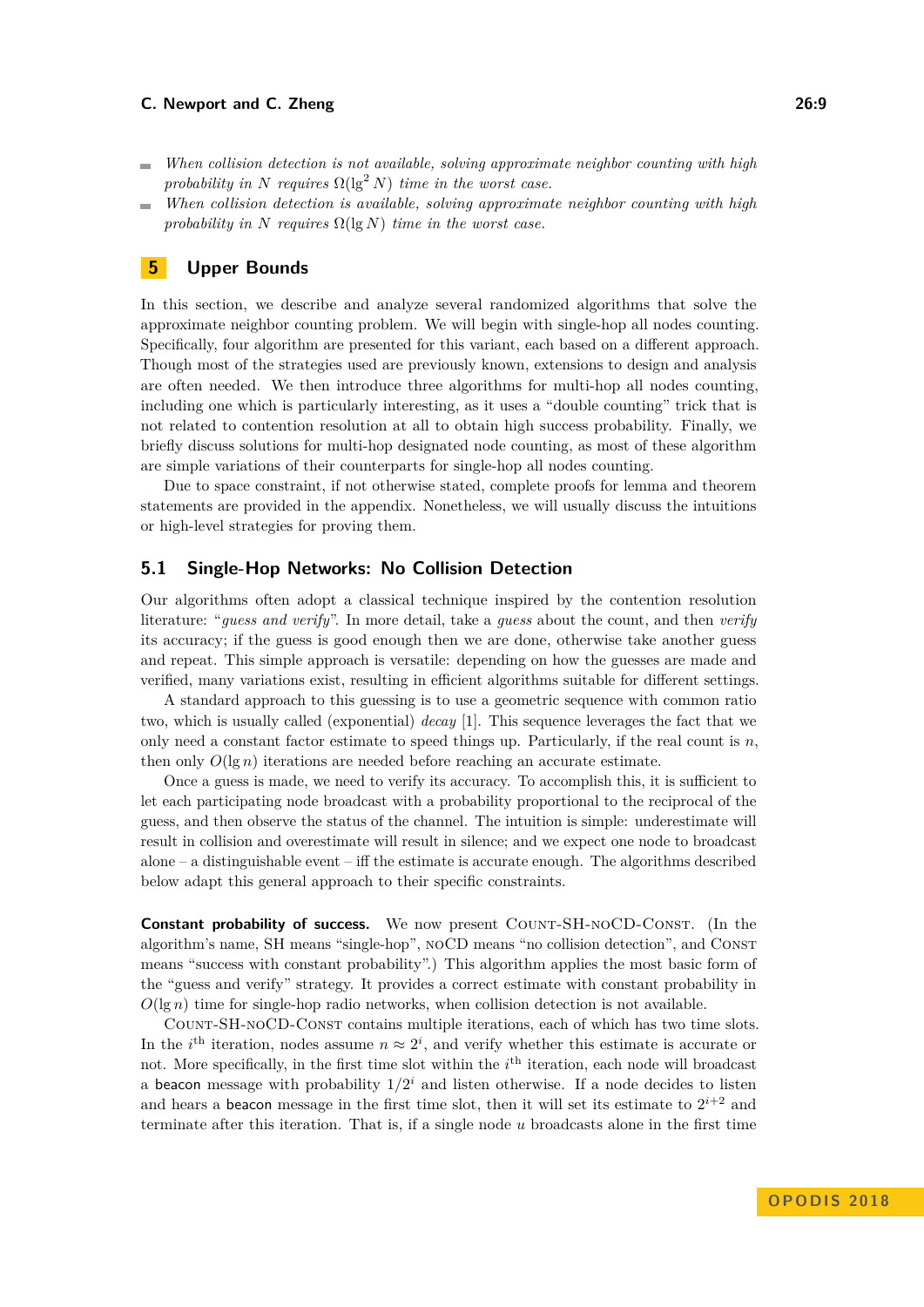- *When collision detection is not available, solving approximate neighbor counting with high*  $\blacksquare$ *probability in N requires*  $\Omega(\lg^2 N)$  *time in the worst case.*
- *When collision detection is available, solving approximate neighbor counting with high*  $\sim$ *probability in N requires*  $\Omega(\lg N)$  *time in the worst case.*

## **5 Upper Bounds**

In this section, we describe and analyze several randomized algorithms that solve the approximate neighbor counting problem. We will begin with single-hop all nodes counting. Specifically, four algorithm are presented for this variant, each based on a different approach. Though most of the strategies used are previously known, extensions to design and analysis are often needed. We then introduce three algorithms for multi-hop all nodes counting, including one which is particularly interesting, as it uses a "double counting" trick that is not related to contention resolution at all to obtain high success probability. Finally, we briefly discuss solutions for multi-hop designated node counting, as most of these algorithm are simple variations of their counterparts for single-hop all nodes counting.

Due to space constraint, if not otherwise stated, complete proofs for lemma and theorem statements are provided in the appendix. Nonetheless, we will usually discuss the intuitions or high-level strategies for proving them.

## **5.1 Single-Hop Networks: No Collision Detection**

Our algorithms often adopt a classical technique inspired by the contention resolution literature: "*guess and verify*". In more detail, take a *guess* about the count, and then *verify* its accuracy; if the guess is good enough then we are done, otherwise take another guess and repeat. This simple approach is versatile: depending on how the guesses are made and verified, many variations exist, resulting in efficient algorithms suitable for different settings.

A standard approach to this guessing is to use a geometric sequence with common ratio two, which is usually called (exponential) *decay* [\[1\]](#page-14-0). This sequence leverages the fact that we only need a constant factor estimate to speed things up. Particularly, if the real count is *n*, then only  $O(\lg n)$  iterations are needed before reaching an accurate estimate.

Once a guess is made, we need to verify its accuracy. To accomplish this, it is sufficient to let each participating node broadcast with a probability proportional to the reciprocal of the guess, and then observe the status of the channel. The intuition is simple: underestimate will result in collision and overestimate will result in silence; and we expect one node to broadcast alone – a distinguishable event – iff the estimate is accurate enough. The algorithms described below adapt this general approach to their specific constraints.

**Constant probability of success.** We now present COUNT-SH-NOCD-CONST. (In the algorithm's name, SH means "single-hop", noCD means "no collision detection", and Const means "success with constant probability".) This algorithm applies the most basic form of the "guess and verify" strategy. It provides a correct estimate with constant probability in  $O(\lg n)$  time for single-hop radio networks, when collision detection is not available.

Count-SH-noCD-Const contains multiple iterations, each of which has two time slots. In the *i*<sup>th</sup> iteration, nodes assume  $n \approx 2^i$ , and verify whether this estimate is accurate or not. More specifically, in the first time slot within the *i*<sup>th</sup> iteration, each node will broadcast a beacon message with probability  $1/2^i$  and listen otherwise. If a node decides to listen and hears a beacon message in the first time slot, then it will set its estimate to  $2^{i+2}$  and terminate after this iteration. That is, if a single node *u* broadcasts alone in the first time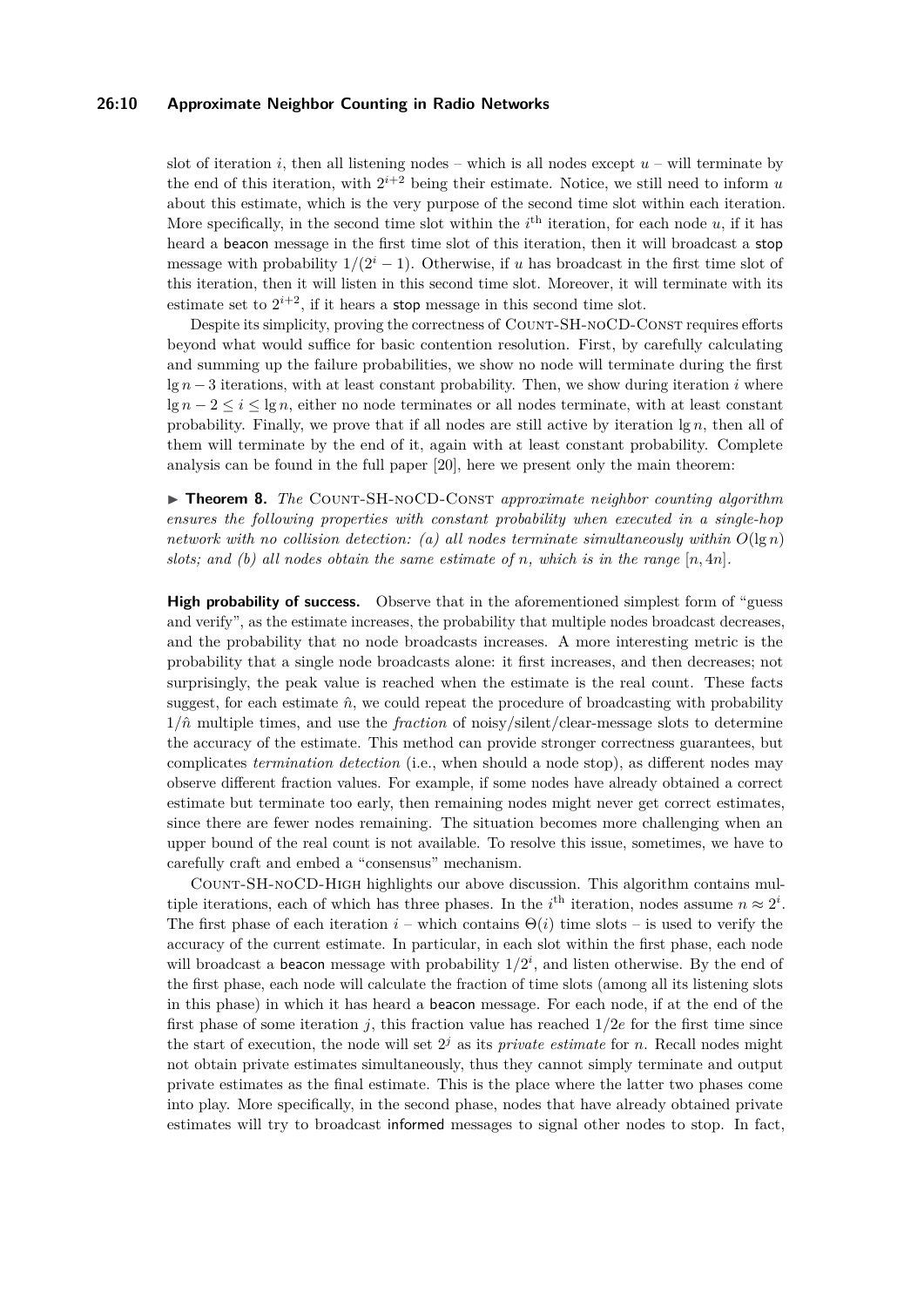#### **26:10 Approximate Neighbor Counting in Radio Networks**

slot of iteration *i*, then all listening nodes – which is all nodes except  $u$  – will terminate by the end of this iteration, with  $2^{i+2}$  being their estimate. Notice, we still need to inform *u* about this estimate, which is the very purpose of the second time slot within each iteration. More specifically, in the second time slot within the  $i<sup>th</sup>$  iteration, for each node  $u$ , if it has heard a beacon message in the first time slot of this iteration, then it will broadcast a stop message with probability  $1/(2<sup>i</sup> - 1)$ . Otherwise, if *u* has broadcast in the first time slot of this iteration, then it will listen in this second time slot. Moreover, it will terminate with its estimate set to  $2^{i+2}$ , if it hears a **stop** message in this second time slot.

Despite its simplicity, proving the correctness of Count-SH-noCD-Const requires efforts beyond what would suffice for basic contention resolution. First, by carefully calculating and summing up the failure probabilities, we show no node will terminate during the first lg *n* − 3 iterations, with at least constant probability. Then, we show during iteration *i* where  $\lg n - 2 < i < \lg n$ , either no node terminates or all nodes terminate, with at least constant probability. Finally, we prove that if all nodes are still active by iteration lg *n*, then all of them will terminate by the end of it, again with at least constant probability. Complete analysis can be found in the full paper [\[20\]](#page-15-0), here we present only the main theorem:

▶ **Theorem 8.** *The* COUNT-SH-NOCD-CONST *approximate neighbor counting algorithm ensures the following properties with constant probability when executed in a single-hop network with no collision detection:* (a) all nodes terminate simultaneously within  $O(\lg n)$ *slots;* and (b) all nodes obtain the same estimate of *n*, which is in the range  $[n, 4n]$ .

High probability of success. Observe that in the aforementioned simplest form of "guess and verify", as the estimate increases, the probability that multiple nodes broadcast decreases, and the probability that no node broadcasts increases. A more interesting metric is the probability that a single node broadcasts alone: it first increases, and then decreases; not surprisingly, the peak value is reached when the estimate is the real count. These facts suggest, for each estimate  $\hat{n}$ , we could repeat the procedure of broadcasting with probability  $1/\hat{n}$  multiple times, and use the *fraction* of noisy/silent/clear-message slots to determine the accuracy of the estimate. This method can provide stronger correctness guarantees, but complicates *termination detection* (i.e., when should a node stop), as different nodes may observe different fraction values. For example, if some nodes have already obtained a correct estimate but terminate too early, then remaining nodes might never get correct estimates, since there are fewer nodes remaining. The situation becomes more challenging when an upper bound of the real count is not available. To resolve this issue, sometimes, we have to carefully craft and embed a "consensus" mechanism.

Count-SH-noCD-High highlights our above discussion. This algorithm contains multiple iterations, each of which has three phases. In the *i*<sup>th</sup> iteration, nodes assume  $n \approx 2^i$ . The first phase of each iteration  $i$  – which contains  $\Theta(i)$  time slots – is used to verify the accuracy of the current estimate. In particular, in each slot within the first phase, each node will broadcast a beacon message with probability  $1/2^i$ , and listen otherwise. By the end of the first phase, each node will calculate the fraction of time slots (among all its listening slots in this phase) in which it has heard a beacon message. For each node, if at the end of the first phase of some iteration *j*, this fraction value has reached 1*/*2*e* for the first time since the start of execution, the node will set  $2<sup>j</sup>$  as its *private estimate* for *n*. Recall nodes might not obtain private estimates simultaneously, thus they cannot simply terminate and output private estimates as the final estimate. This is the place where the latter two phases come into play. More specifically, in the second phase, nodes that have already obtained private estimates will try to broadcast informed messages to signal other nodes to stop. In fact,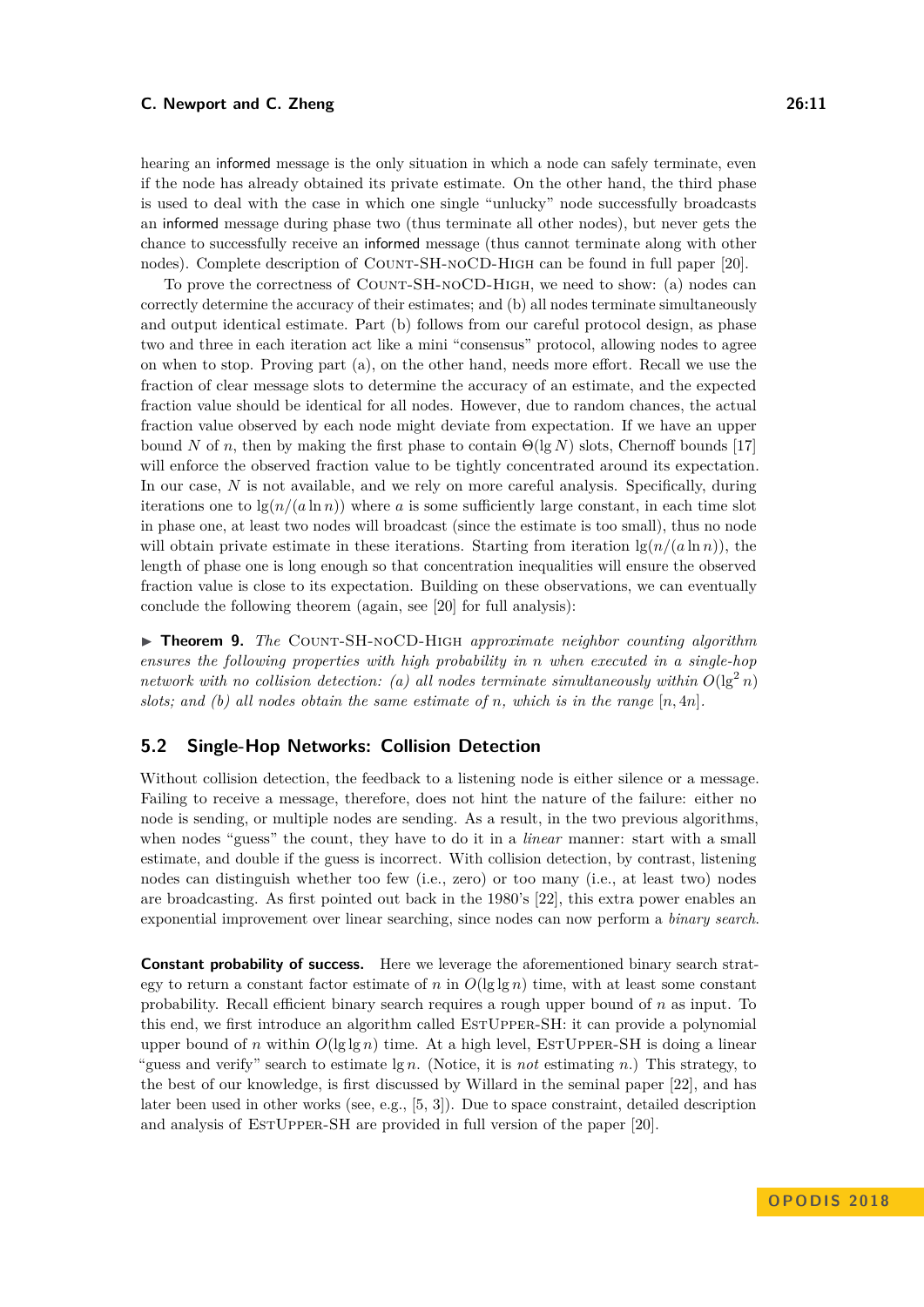hearing an informed message is the only situation in which a node can safely terminate, even if the node has already obtained its private estimate. On the other hand, the third phase is used to deal with the case in which one single "unlucky" node successfully broadcasts an informed message during phase two (thus terminate all other nodes), but never gets the chance to successfully receive an informed message (thus cannot terminate along with other nodes). Complete description of COUNT-SH-NOCD-HIGH can be found in full paper [\[20\]](#page-15-0).

To prove the correctness of Count-SH-noCD-High, we need to show: (a) nodes can correctly determine the accuracy of their estimates; and (b) all nodes terminate simultaneously and output identical estimate. Part (b) follows from our careful protocol design, as phase two and three in each iteration act like a mini "consensus" protocol, allowing nodes to agree on when to stop. Proving part (a), on the other hand, needs more effort. Recall we use the fraction of clear message slots to determine the accuracy of an estimate, and the expected fraction value should be identical for all nodes. However, due to random chances, the actual fraction value observed by each node might deviate from expectation. If we have an upper bound *N* of *n*, then by making the first phase to contain  $\Theta(\lg N)$  slots, Chernoff bounds [\[17\]](#page-15-18) will enforce the observed fraction value to be tightly concentrated around its expectation. In our case, N is not available, and we rely on more careful analysis. Specifically, during iterations one to  $\lg(n/(a \ln n))$  where *a* is some sufficiently large constant, in each time slot in phase one, at least two nodes will broadcast (since the estimate is too small), thus no node will obtain private estimate in these iterations. Starting from iteration  $\lg(n/(a \ln n))$ , the length of phase one is long enough so that concentration inequalities will ensure the observed fraction value is close to its expectation. Building on these observations, we can eventually conclude the following theorem (again, see [\[20\]](#page-15-0) for full analysis):

I **Theorem 9.** *The* Count-SH-noCD-High *approximate neighbor counting algorithm ensures the following properties with high probability in n when executed in a single-hop network with no collision detection: (a) all nodes terminate simultaneously within*  $O(\lg^2 n)$ *slots;* and (b) all nodes obtain the same estimate of *n*, which is in the range  $[n, 4n]$ .

## **5.2 Single-Hop Networks: Collision Detection**

Without collision detection, the feedback to a listening node is either silence or a message. Failing to receive a message, therefore, does not hint the nature of the failure: either no node is sending, or multiple nodes are sending. As a result, in the two previous algorithms, when nodes "guess" the count, they have to do it in a *linear* manner: start with a small estimate, and double if the guess is incorrect. With collision detection, by contrast, listening nodes can distinguish whether too few (i.e., zero) or too many (i.e., at least two) nodes are broadcasting. As first pointed out back in the 1980's [\[22\]](#page-15-5), this extra power enables an exponential improvement over linear searching, since nodes can now perform a *binary search*.

**Constant probability of success.** Here we leverage the aforementioned binary search strategy to return a constant factor estimate of *n* in  $O(\lg \lg n)$  time, with at least some constant probability. Recall efficient binary search requires a rough upper bound of *n* as input. To this end, we first introduce an algorithm called EstUpper-SH: it can provide a polynomial upper bound of *n* within  $O(\lg \lg n)$  time. At a high level, ESTUPPER-SH is doing a linear "guess and verify" search to estimate lg *n*. (Notice, it is *not* estimating *n*.) This strategy, to the best of our knowledge, is first discussed by Willard in the seminal paper [\[22\]](#page-15-5), and has later been used in other works (see, e.g., [\[5,](#page-14-5) [3\]](#page-14-1)). Due to space constraint, detailed description and analysis of ESTUPPER-SH are provided in full version of the paper [\[20\]](#page-15-0).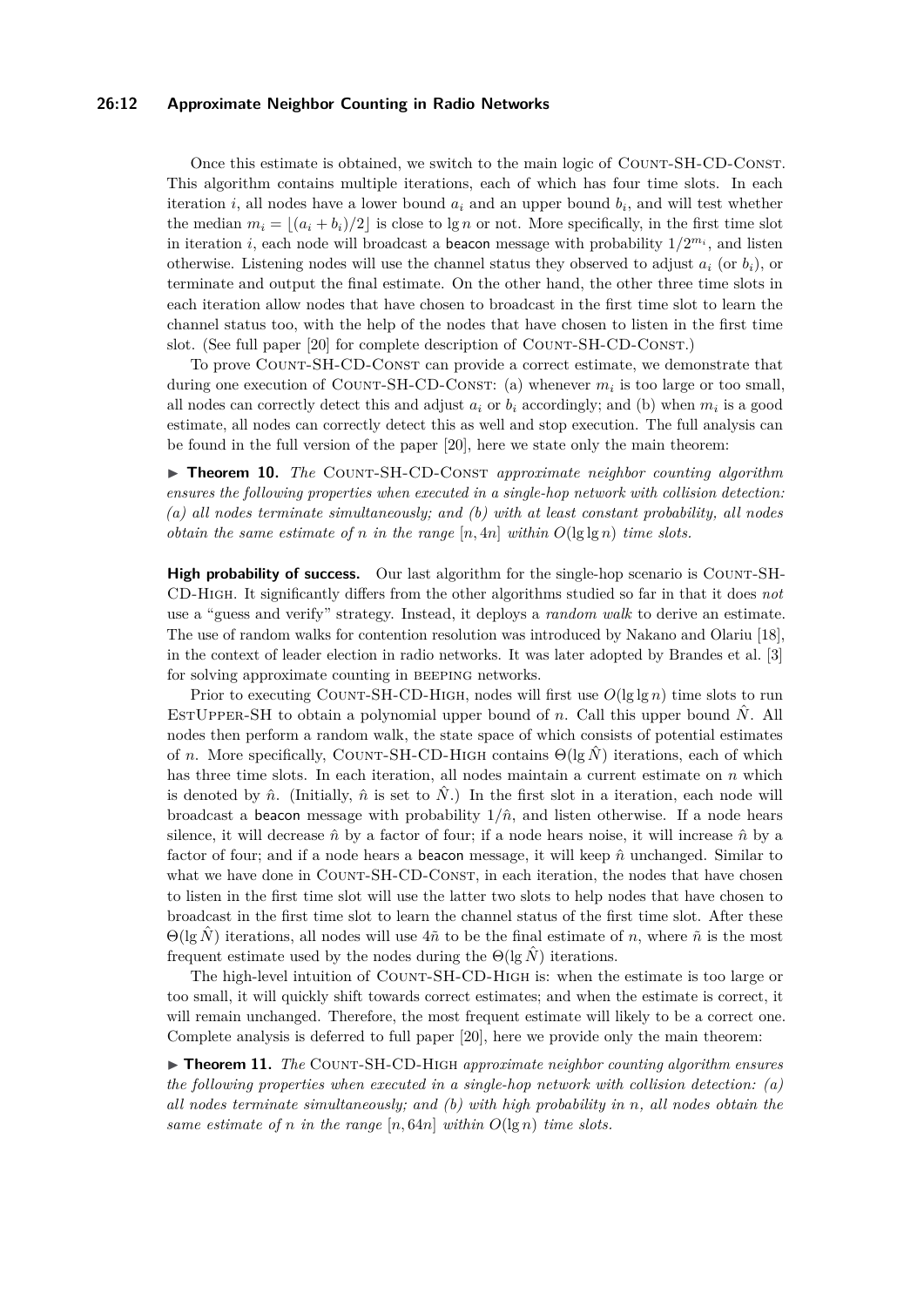#### **26:12 Approximate Neighbor Counting in Radio Networks**

Once this estimate is obtained, we switch to the main logic of Count-SH-CD-Const. This algorithm contains multiple iterations, each of which has four time slots. In each iteration *i*, all nodes have a lower bound *a<sup>i</sup>* and an upper bound *b<sup>i</sup>* , and will test whether the median  $m_i = |(a_i + b_i)/2|$  is close to lg *n* or not. More specifically, in the first time slot in iteration *i*, each node will broadcast a beacon message with probability  $1/2^{m_i}$ , and listen otherwise. Listening nodes will use the channel status they observed to adjust  $a_i$  (or  $b_i$ ), or terminate and output the final estimate. On the other hand, the other three time slots in each iteration allow nodes that have chosen to broadcast in the first time slot to learn the channel status too, with the help of the nodes that have chosen to listen in the first time slot. (See full paper [\[20\]](#page-15-0) for complete description of Count-SH-CD-Const.)

To prove Count-SH-CD-Const can provide a correct estimate, we demonstrate that during one execution of COUNT-SH-CD-CONST: (a) whenever  $m_i$  is too large or too small, all nodes can correctly detect this and adjust  $a_i$  or  $b_i$  accordingly; and (b) when  $m_i$  is a good estimate, all nodes can correctly detect this as well and stop execution. The full analysis can be found in the full version of the paper [\[20\]](#page-15-0), here we state only the main theorem:

▶ **Theorem 10.** *The* COUNT-SH-CD-CONST *approximate neighbor counting algorithm ensures the following properties when executed in a single-hop network with collision detection: (a) all nodes terminate simultaneously; and (b) with at least constant probability, all nodes obtain the same estimate of n in the range* [*n,* 4*n*] *within O*(lg lg *n*) *time slots.*

**High probability of success.** Our last algorithm for the single-hop scenario is COUNT-SH-CD-High. It significantly differs from the other algorithms studied so far in that it does *not* use a "guess and verify" strategy. Instead, it deploys a *random walk* to derive an estimate. The use of random walks for contention resolution was introduced by Nakano and Olariu [\[18\]](#page-15-6), in the context of leader election in radio networks. It was later adopted by Brandes et al. [\[3\]](#page-14-1) for solving approximate counting in beeping networks.

Prior to executing COUNT-SH-CD-HIGH, nodes will first use  $O(\lg \lg n)$  time slots to run ESTUPPER-SH to obtain a polynomial upper bound of *n*. Call this upper bound  $\hat{N}$ . All nodes then perform a random walk, the state space of which consists of potential estimates of *n*. More specifically, COUNT-SH-CD-HIGH contains  $\Theta(\lg \hat{N})$  iterations, each of which has three time slots. In each iteration, all nodes maintain a current estimate on *n* which is denoted by  $\hat{n}$ . (Initially,  $\hat{n}$  is set to  $\hat{N}$ .) In the first slot in a iteration, each node will broadcast a beacon message with probability  $1/\hat{n}$ , and listen otherwise. If a node hears silence, it will decrease  $\hat{n}$  by a factor of four; if a node hears noise, it will increase  $\hat{n}$  by a factor of four; and if a node hears a beacon message, it will keep  $\hat{n}$  unchanged. Similar to what we have done in COUNT-SH-CD-CONST, in each iteration, the nodes that have chosen to listen in the first time slot will use the latter two slots to help nodes that have chosen to broadcast in the first time slot to learn the channel status of the first time slot. After these  $\Theta(\lg \hat{N})$  iterations, all nodes will use  $4\tilde{n}$  to be the final estimate of *n*, where  $\tilde{n}$  is the most frequent estimate used by the nodes during the  $\Theta(\lg N)$  iterations.

The high-level intuition of COUNT-SH-CD-HIGH is: when the estimate is too large or too small, it will quickly shift towards correct estimates; and when the estimate is correct, it will remain unchanged. Therefore, the most frequent estimate will likely to be a correct one. Complete analysis is deferred to full paper [\[20\]](#page-15-0), here we provide only the main theorem:

▶ **Theorem 11.** *The* COUNT-SH-CD-HIGH *approximate neighbor counting algorithm ensures the following properties when executed in a single-hop network with collision detection: (a) all nodes terminate simultaneously; and (b) with high probability in n, all nodes obtain the same estimate of n in the range*  $[n, 64n]$  *within*  $O(\lg n)$  *time slots.*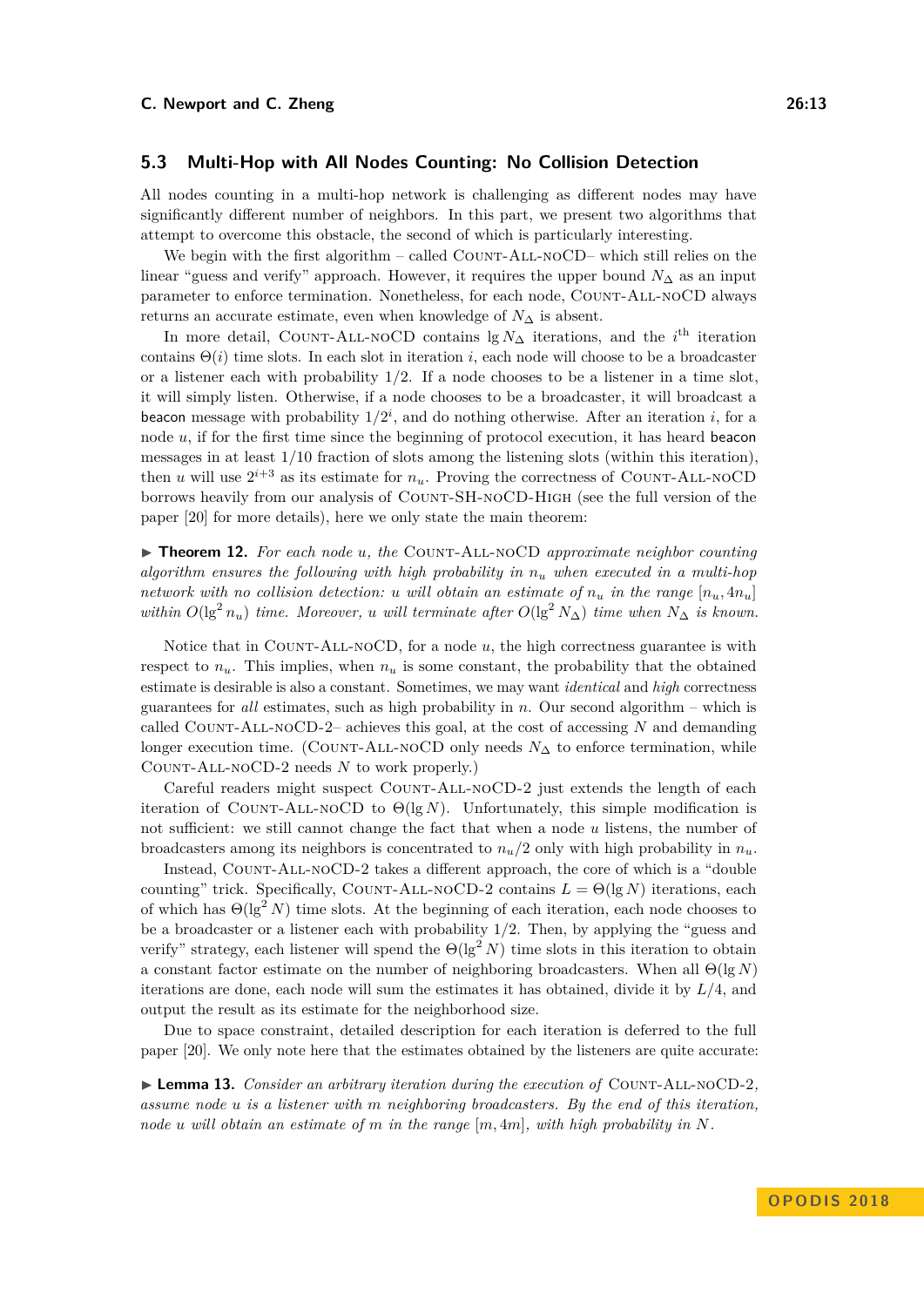All nodes counting in a multi-hop network is challenging as different nodes may have significantly different number of neighbors. In this part, we present two algorithms that attempt to overcome this obstacle, the second of which is particularly interesting.

We begin with the first algorithm – called COUNT-ALL-NOCD– which still relies on the linear "guess and verify" approach. However, it requires the upper bound  $N_{\Delta}$  as an input parameter to enforce termination. Nonetheless, for each node, COUNT-ALL-NOCD always returns an accurate estimate, even when knowledge of  $N_{\Delta}$  is absent.

In more detail, COUNT-ALL-NOCD contains  $\lg N_{\Delta}$  iterations, and the *i*<sup>th</sup> iteration contains  $\Theta(i)$  time slots. In each slot in iteration *i*, each node will choose to be a broadcaster or a listener each with probability 1*/*2. If a node chooses to be a listener in a time slot, it will simply listen. Otherwise, if a node chooses to be a broadcaster, it will broadcast a beacon message with probability  $1/2^i$ , and do nothing otherwise. After an iteration *i*, for a node *u*, if for the first time since the beginning of protocol execution, it has heard beacon messages in at least 1*/*10 fraction of slots among the listening slots (within this iteration), then *u* will use  $2^{i+3}$  as its estimate for  $n_u$ . Proving the correctness of COUNT-ALL-NOCD borrows heavily from our analysis of Count-SH-noCD-High (see the full version of the paper [\[20\]](#page-15-0) for more details), here we only state the main theorem:

▶ **Theorem 12.** *For each node u, the* COUNT-ALL-NOCD *approximate neighbor counting algorithm ensures the following with high probability in n<sup>u</sup> when executed in a multi-hop network with no collision detection: u will obtain an estimate of*  $n_u$  *in the range*  $[n_u, 4n_u]$ *within*  $O(\lg^2 n_u)$  *time. Moreover, u will terminate after*  $O(\lg^2 N_\Delta)$  *time when*  $N_\Delta$  *is known.* 

Notice that in COUNT-ALL-NOCD, for a node *u*, the high correctness guarantee is with respect to  $n_u$ . This implies, when  $n_u$  is some constant, the probability that the obtained estimate is desirable is also a constant. Sometimes, we may want *identical* and *high* correctness guarantees for *all* estimates, such as high probability in *n*. Our second algorithm – which is called Count-All-noCD-2– achieves this goal, at the cost of accessing *N* and demanding longer execution time. (COUNT-ALL-NOCD only needs  $N_{\Delta}$  to enforce termination, while Count-All-noCD-2 needs *N* to work properly.)

Careful readers might suspect COUNT-ALL-NOCD-2 just extends the length of each iteration of COUNT-ALL-NOCD to  $\Theta(\lg N)$ . Unfortunately, this simple modification is not sufficient: we still cannot change the fact that when a node *u* listens, the number of broadcasters among its neighbors is concentrated to  $n_u/2$  only with high probability in  $n_u$ .

Instead, Count-All-noCD-2 takes a different approach, the core of which is a "double counting" trick. Specifically, COUNT-ALL-NOCD-2 contains  $L = \Theta(\lg N)$  iterations, each of which has  $\Theta(\lg^2 N)$  time slots. At the beginning of each iteration, each node chooses to be a broadcaster or a listener each with probability 1*/*2. Then, by applying the "guess and verify" strategy, each listener will spend the  $\Theta(\lg^2 N)$  time slots in this iteration to obtain a constant factor estimate on the number of neighboring broadcasters. When all Θ(lg *N*) iterations are done, each node will sum the estimates it has obtained, divide it by *L/*4, and output the result as its estimate for the neighborhood size.

Due to space constraint, detailed description for each iteration is deferred to the full paper [\[20\]](#page-15-0). We only note here that the estimates obtained by the listeners are quite accurate:

<span id="page-12-0"></span> $\blacktriangleright$  **Lemma 13.** *Consider an arbitrary iteration during the execution of* COUNT-ALL-NOCD-2*, assume node u is a listener with m neighboring broadcasters. By the end of this iteration, node u will obtain an estimate of m in the range* [*m,* 4*m*]*, with high probability in N.*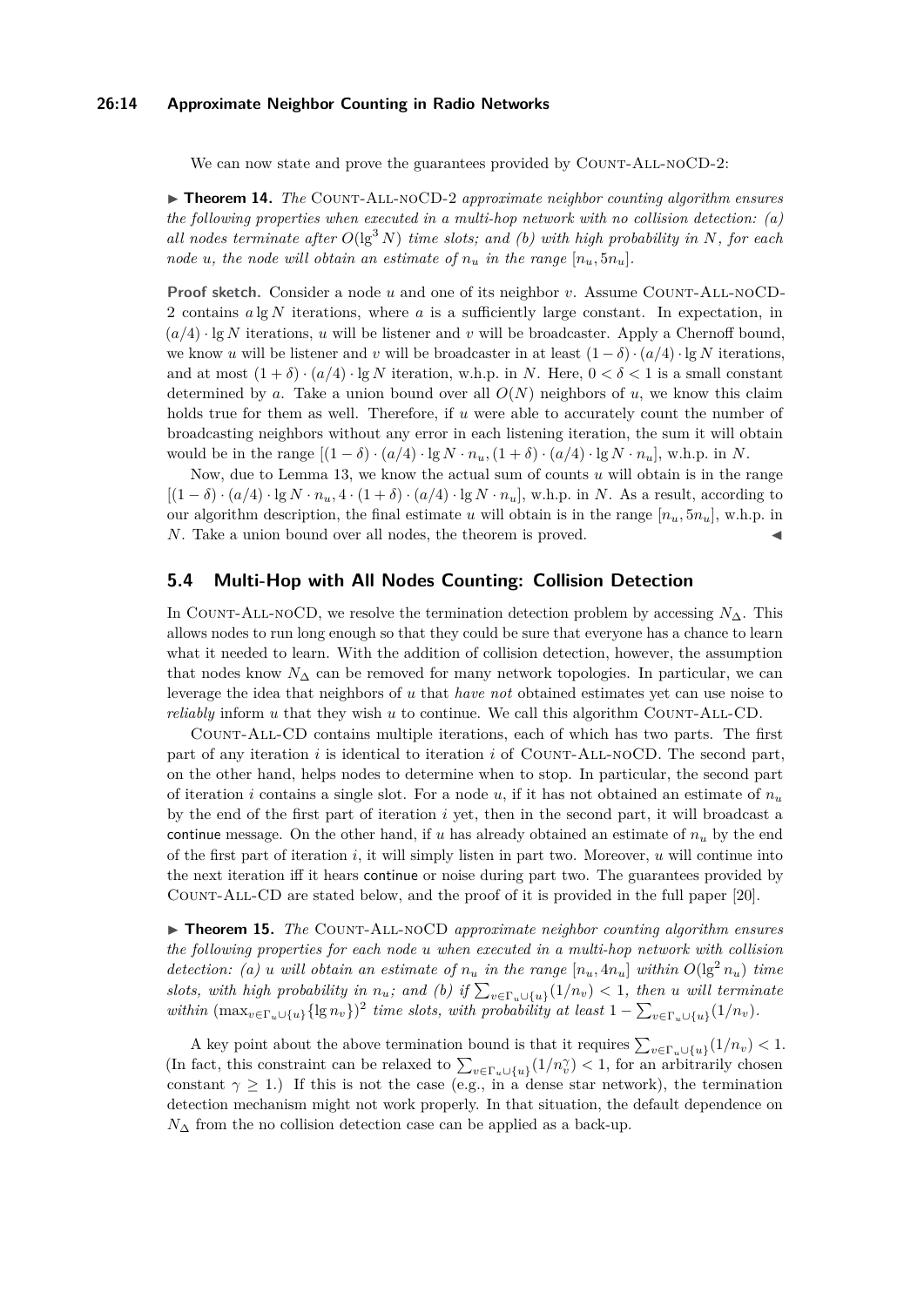#### **26:14 Approximate Neighbor Counting in Radio Networks**

We can now state and prove the guarantees provided by COUNT-ALL-NOCD-2:

▶ **Theorem 14.** *The* COUNT-ALL-NOCD-2 *approximate neighbor counting algorithm ensures the following properties when executed in a multi-hop network with no collision detection: (a) all nodes terminate after*  $O(\lg^3 N)$  *time slots; and (b) with high probability in* N, for each *node u*, the node will obtain an estimate of  $n_u$  in the range  $[n_u, 5n_u]$ .

**Proof sketch.** Consider a node *u* and one of its neighbor *v*. Assume COUNT-ALL-NOCD-2 contains *a* lg *N* iterations, where *a* is a sufficiently large constant. In expectation, in  $(a/4)$  · lg N iterations, *u* will be listener and *v* will be broadcaster. Apply a Chernoff bound, we know *u* will be listener and *v* will be broadcaster in at least  $(1 - \delta) \cdot (a/4) \cdot \lg N$  iterations, and at most  $(1 + \delta) \cdot (a/4) \cdot \lg N$  iteration, w.h.p. in *N*. Here,  $0 < \delta < 1$  is a small constant determined by *a*. Take a union bound over all  $O(N)$  neighbors of *u*, we know this claim holds true for them as well. Therefore, if *u* were able to accurately count the number of broadcasting neighbors without any error in each listening iteration, the sum it will obtain would be in the range  $[(1 - \delta) \cdot (a/4) \cdot \lg N \cdot n_u, (1 + \delta) \cdot (a/4) \cdot \lg N \cdot n_u], \text{ w.h.p. in } N$ .

Now, due to Lemma [13,](#page-12-0) we know the actual sum of counts *u* will obtain is in the range  $[(1 - \delta) \cdot (a/4) \cdot \lg N \cdot n_u, 4 \cdot (1 + \delta) \cdot (a/4) \cdot \lg N \cdot n_u],$  w.h.p. in *N*. As a result, according to our algorithm description, the final estimate *u* will obtain is in the range  $[n_u, 5n_u]$ , w.h.p. in *N*. Take a union bound over all nodes, the theorem is proved.

## **5.4 Multi-Hop with All Nodes Counting: Collision Detection**

In COUNT-ALL-NOCD, we resolve the termination detection problem by accessing  $N_{\Delta}$ . This allows nodes to run long enough so that they could be sure that everyone has a chance to learn what it needed to learn. With the addition of collision detection, however, the assumption that nodes know  $N_{\Delta}$  can be removed for many network topologies. In particular, we can leverage the idea that neighbors of *u* that *have not* obtained estimates yet can use noise to *reliably* inform  $u$  that they wish  $u$  to continue. We call this algorithm COUNT-ALL-CD.

Count-All-CD contains multiple iterations, each of which has two parts. The first part of any iteration *i* is identical to iteration *i* of COUNT-ALL-NOCD. The second part, on the other hand, helps nodes to determine when to stop. In particular, the second part of iteration *i* contains a single slot. For a node *u*, if it has not obtained an estimate of  $n_u$ by the end of the first part of iteration *i* yet, then in the second part, it will broadcast a continue message. On the other hand, if *u* has already obtained an estimate of  $n_u$  by the end of the first part of iteration *i*, it will simply listen in part two. Moreover, *u* will continue into the next iteration iff it hears continue or noise during part two. The guarantees provided by Count-All-CD are stated below, and the proof of it is provided in the full paper [\[20\]](#page-15-0).

▶ **Theorem 15.** *The* COUNT-ALL-NOCD *approximate neighbor counting algorithm ensures the following properties for each node u when executed in a multi-hop network with collision detection:* (a) *u will obtain an estimate of*  $n_u$  *in the range*  $[n_u, 4n_u]$  *within*  $O(\lg^2 n_u)$  *time slots, with high probability in*  $n_u$ ; and (b) if  $\sum_{v \in \Gamma_u \cup \{u\}} (1/n_v) < 1$ , then *u will terminate within*  $(\max_{v \in \Gamma_u \cup \{u\}} {\{\lg n_v\}})^2$  *time slots, with probability at least*  $1 - \sum_{v \in \Gamma_u \cup \{u\}} (1/n_v)$ *.* 

A key point about the above termination bound is that it requires  $\sum_{v \in \Gamma_u \cup \{u\}} (1/n_v) < 1$ . (In fact, this constraint can be relaxed to  $\sum_{v \in \Gamma_u \cup \{u\}} (1/n_v^{\gamma}) < 1$ , for an arbitrarily chosen constant  $\gamma \geq 1$ .) If this is not the case (e.g., in a dense star network), the termination detection mechanism might not work properly. In that situation, the default dependence on  $N<sub>∆</sub>$  from the no collision detection case can be applied as a back-up.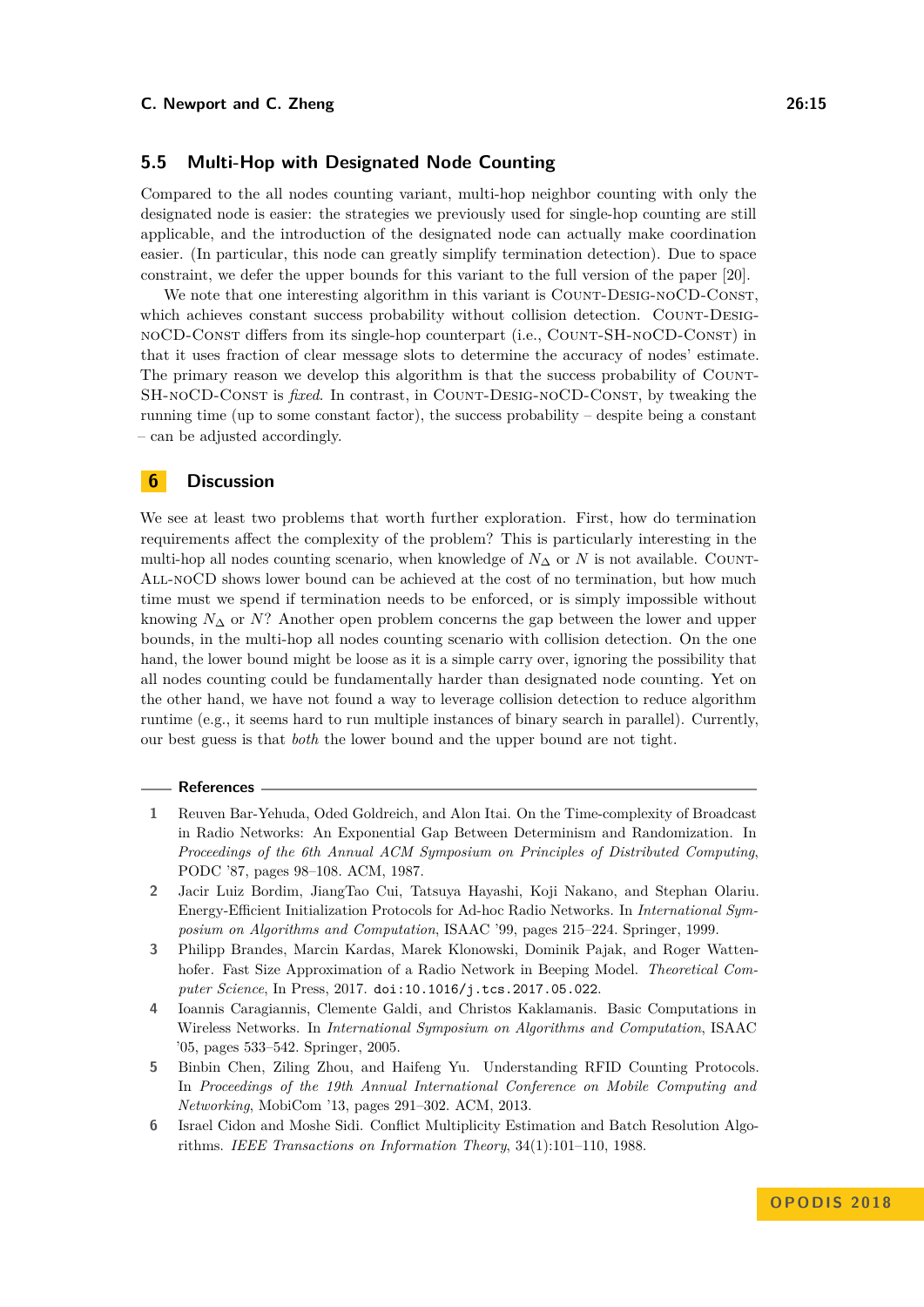## **5.5 Multi-Hop with Designated Node Counting**

Compared to the all nodes counting variant, multi-hop neighbor counting with only the designated node is easier: the strategies we previously used for single-hop counting are still applicable, and the introduction of the designated node can actually make coordination easier. (In particular, this node can greatly simplify termination detection). Due to space constraint, we defer the upper bounds for this variant to the full version of the paper [\[20\]](#page-15-0).

We note that one interesting algorithm in this variant is COUNT-DESIG-NOCD-CONST, which achieves constant success probability without collision detection. COUNT-DESIGnoCD-Const differs from its single-hop counterpart (i.e., Count-SH-noCD-Const) in that it uses fraction of clear message slots to determine the accuracy of nodes' estimate. The primary reason we develop this algorithm is that the success probability of COUNT-SH-NOCD-CONST is *fixed*. In contrast, in COUNT-DESIG-NOCD-CONST, by tweaking the running time (up to some constant factor), the success probability – despite being a constant – can be adjusted accordingly.

#### **6 Discussion**

We see at least two problems that worth further exploration. First, how do termination requirements affect the complexity of the problem? This is particularly interesting in the multi-hop all nodes counting scenario, when knowledge of *N*<sup>∆</sup> or *N* is not available. Count-All-noCD shows lower bound can be achieved at the cost of no termination, but how much time must we spend if termination needs to be enforced, or is simply impossible without knowing  $N_{\Delta}$  or  $N$ ? Another open problem concerns the gap between the lower and upper bounds, in the multi-hop all nodes counting scenario with collision detection. On the one hand, the lower bound might be loose as it is a simple carry over, ignoring the possibility that all nodes counting could be fundamentally harder than designated node counting. Yet on the other hand, we have not found a way to leverage collision detection to reduce algorithm runtime (e.g., it seems hard to run multiple instances of binary search in parallel). Currently, our best guess is that *both* the lower bound and the upper bound are not tight.

#### **References**

- <span id="page-14-0"></span>**1** Reuven Bar-Yehuda, Oded Goldreich, and Alon Itai. On the Time-complexity of Broadcast in Radio Networks: An Exponential Gap Between Determinism and Randomization. In *Proceedings of the 6th Annual ACM Symposium on Principles of Distributed Computing*, PODC '87, pages 98–108. ACM, 1987.
- <span id="page-14-3"></span>**2** Jacir Luiz Bordim, JiangTao Cui, Tatsuya Hayashi, Koji Nakano, and Stephan Olariu. Energy-Efficient Initialization Protocols for Ad-hoc Radio Networks. In *International Symposium on Algorithms and Computation*, ISAAC '99, pages 215–224. Springer, 1999.
- <span id="page-14-1"></span>**3** Philipp Brandes, Marcin Kardas, Marek Klonowski, Dominik Pajak, and Roger Wattenhofer. Fast Size Approximation of a Radio Network in Beeping Model. *Theoretical Computer Science*, In Press, 2017. [doi:10.1016/j.tcs.2017.05.022](http://dx.doi.org/10.1016/j.tcs.2017.05.022).
- <span id="page-14-4"></span>**4** Ioannis Caragiannis, Clemente Galdi, and Christos Kaklamanis. Basic Computations in Wireless Networks. In *International Symposium on Algorithms and Computation*, ISAAC '05, pages 533–542. Springer, 2005.
- <span id="page-14-5"></span>**5** Binbin Chen, Ziling Zhou, and Haifeng Yu. Understanding RFID Counting Protocols. In *Proceedings of the 19th Annual International Conference on Mobile Computing and Networking*, MobiCom '13, pages 291–302. ACM, 2013.
- <span id="page-14-2"></span>**6** Israel Cidon and Moshe Sidi. Conflict Multiplicity Estimation and Batch Resolution Algorithms. *IEEE Transactions on Information Theory*, 34(1):101–110, 1988.